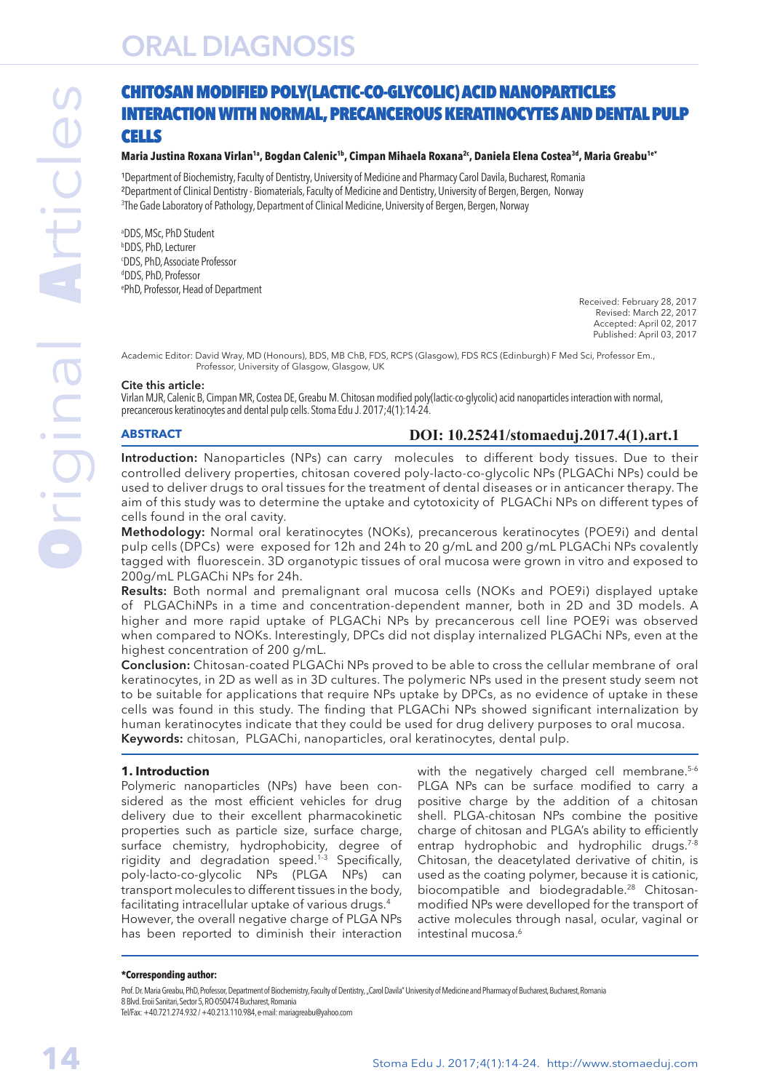# ORAL DIAGNOSIS

#### **Maria Justina Roxana Virlan1a, Bogdan Calenic1b, Cimpan Mihaela Roxana2c, Daniela Elena Costea3d, Maria Greabu1e\***

<sup>1</sup>Department of Biochemistry, Faculty of Dentistry, University of Medicine and Pharmacy Carol Davila, Bucharest, Romania ²Department of Clinical Dentistry - Biomaterials, Faculty of Medicine and Dentistry, University of Bergen, Bergen, Norway 3 The Gade Laboratory of Pathology, Department of Clinical Medicine, University of Bergen, Bergen, Norway

a DDS, MSc, PhD Student b DDS, PhD, Lecturer c DDS, PhD, Associate Professor d DDS, PhD, Professor e PhD, Professor, Head of Department

Received: February 28, 2017 Revised: March 22, 2017 Accepted: April 02, 2017 Published: April 03, 2017

Academic Editor: David Wray, MD (Honours), BDS, MB ChB, FDS, RCPS (Glasgow), FDS RCS (Edinburgh) F Med Sci, Professor Em., Professor, University of Glasgow, Glasgow, UK

#### Cite this article:

Virlan MJR, Calenic B, Cimpan MR, Costea DE, Greabu M. Chitosan modified poly(lactic-co-glycolic) acid nanoparticles interaction with normal, precancerous keratinocytes and dental pulp cells. Stoma Edu J. 2017;4(1):14-24.

#### **ABSTRACT**

# **DOI: 10.25241/stomaeduj.2017.4(1).art.1**

Introduction: Nanoparticles (NPs) can carry molecules to different body tissues. Due to their controlled delivery properties, chitosan covered poly-lacto-co-glycolic NPs (PLGAChi NPs) could be used to deliver drugs to oral tissues for the treatment of dental diseases or in anticancer therapy. The aim of this study was to determine the uptake and cytotoxicity of PLGAChi NPs on different types of cells found in the oral cavity.

Methodology: Normal oral keratinocytes (NOKs), precancerous keratinocytes (POE9i) and dental pulp cells (DPCs) were exposed for 12h and 24h to 20 g/mL and 200 g/mL PLGAChi NPs covalently tagged with fluorescein. 3D organotypic tissues of oral mucosa were grown in vitro and exposed to 200g/mL PLGAChi NPs for 24h.

Results: Both normal and premalignant oral mucosa cells (NOKs and POE9i) displayed uptake of PLGAChiNPs in a time and concentration-dependent manner, both in 2D and 3D models. A higher and more rapid uptake of PLGAChi NPs by precancerous cell line POE9i was observed when compared to NOKs. Interestingly, DPCs did not display internalized PLGAChi NPs, even at the highest concentration of 200 g/mL.

Conclusion: Chitosan-coated PLGAChi NPs proved to be able to cross the cellular membrane of oral keratinocytes, in 2D as well as in 3D cultures. The polymeric NPs used in the present study seem not to be suitable for applications that require NPs uptake by DPCs, as no evidence of uptake in these cells was found in this study. The finding that PLGAChi NPs showed significant internalization by human keratinocytes indicate that they could be used for drug delivery purposes to oral mucosa. Keywords: chitosan, PLGAChi, nanoparticles, oral keratinocytes, dental pulp.

#### **1. Introduction**

Polymeric nanoparticles (NPs) have been considered as the most efficient vehicles for drug delivery due to their excellent pharmacokinetic properties such as particle size, surface charge, surface chemistry, hydrophobicity, degree of rigidity and degradation speed.1-3 Specifically, poly-lacto-co-glycolic NPs (PLGA NPs) can transport molecules to different tissues in the body, facilitating intracellular uptake of various drugs.4 However, the overall negative charge of PLGA NPs has been reported to diminish their interaction

with the negatively charged cell membrane.<sup>5-6</sup> PLGA NPs can be surface modified to carry a positive charge by the addition of a chitosan shell. PLGA-chitosan NPs combine the positive charge of chitosan and PLGA's ability to efficiently entrap hydrophobic and hydrophilic drugs.<sup>7-8</sup> Chitosan, the deacetylated derivative of chitin, is used as the coating polymer, because it is cationic, biocompatible and biodegradable.<sup>28</sup> Chitosanmodified NPs were develloped for the transport of active molecules through nasal, ocular, vaginal or intestinal mucosa.6

#### **\*Corresponding author:**

Prof. Dr. Maria Greabu, PhD, Professor, Department of Biochemistry, Faculty of Dentistry, "Carol Davila" University of Medicine and Pharmacy of Bucharest, Bucharest, Romania 8 Blvd. Eroii Sanitari, Sector 5, RO-050474 Bucharest, Romania

Tel/Fax: +40.721.274.932 / +40.213.110.984, e-mail: mariagreabu@yahoo.com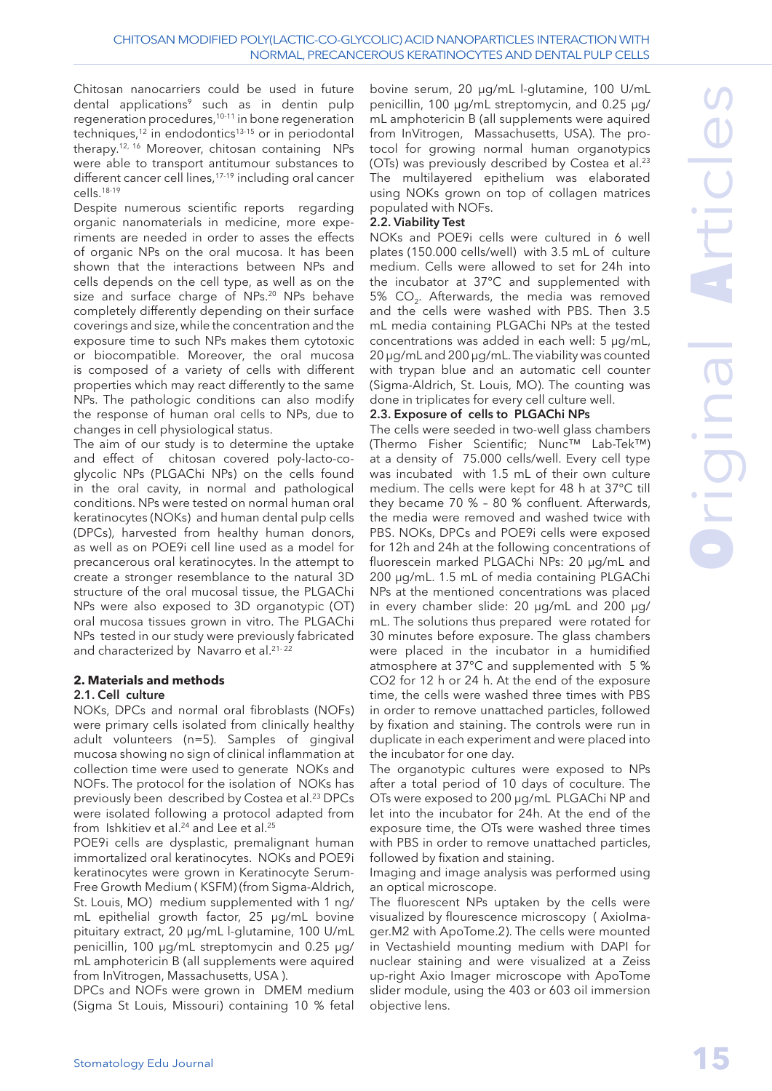Chitosan nanocarriers could be used in future dental applications<sup>9</sup> such as in dentin pulp regeneration procedures,<sup>10-11</sup> in bone regeneration techniques,<sup>12</sup> in endodontics<sup>13-15</sup> or in periodontal therapy.12, 16 Moreover, chitosan containing NPs were able to transport antitumour substances to different cancer cell lines,<sup>17-19</sup> including oral cancer cells.18-19

Despite numerous scientific reports regarding organic nanomaterials in medicine, more experiments are needed in order to asses the effects of organic NPs on the oral mucosa. It has been shown that the interactions between NPs and cells depends on the cell type, as well as on the size and surface charge of NPs.20 NPs behave completely differently depending on their surface coverings and size, while the concentration and the exposure time to such NPs makes them cytotoxic or biocompatible. Moreover, the oral mucosa is composed of a variety of cells with different properties which may react differently to the same NPs. The pathologic conditions can also modify the response of human oral cells to NPs, due to changes in cell physiological status.

The aim of our study is to determine the uptake and effect of chitosan covered poly-lacto-coglycolic NPs (PLGAChi NPs) on the cells found in the oral cavity, in normal and pathological conditions. NPs were tested on normal human oral keratinocytes (NOKs) and human dental pulp cells (DPCs), harvested from healthy human donors, as well as on POE9i cell line used as a model for precancerous oral keratinocytes. In the attempt to create a stronger resemblance to the natural 3D structure of the oral mucosal tissue, the PLGAChi NPs were also exposed to 3D organotypic (OT) oral mucosa tissues grown in vitro. The PLGAChi NPs tested in our study were previously fabricated and characterized by Navarro et al.<sup>21-22</sup>

# **2. Materials and methods**

#### 2.1. Cell culture

NOKs, DPCs and normal oral fibroblasts (NOFs) were primary cells isolated from clinically healthy adult volunteers (n=5). Samples of gingival mucosa showing no sign of clinical inflammation at collection time were used to generate NOKs and NOFs. The protocol for the isolation of NOKs has previously been described by Costea et al.<sup>23</sup> DPCs were isolated following a protocol adapted from from Ishkitiev et al.<sup>24</sup> and Lee et al.<sup>25</sup>

POE9i cells are dysplastic, premalignant human immortalized oral keratinocytes. NOKs and POE9i keratinocytes were grown in Keratinocyte Serum-Free Growth Medium ( KSFM) (from Sigma-Aldrich, St. Louis, MO) medium supplemented with 1 ng/ mL epithelial growth factor, 25 μg/mL bovine pituitary extract, 20 μg/mL l-glutamine, 100 U/mL penicillin, 100 μg/mL streptomycin and 0.25 μg/ mL amphotericin B (all supplements were aquired from InVitrogen, Massachusetts, USA ).

DPCs and NOFs were grown in DMEM medium (Sigma St Louis, Missouri) containing 10 % fetal

bovine serum, 20 μg/mL l-glutamine, 100 U/mL penicillin, 100 μg/mL streptomycin, and 0.25 μg/ mL amphotericin B (all supplements were aquired from InVitrogen, Massachusetts, USA). The protocol for growing normal human organotypics (OTs) was previously described by Costea et al.<sup>23</sup> The multilayered epithelium was elaborated using NOKs grown on top of collagen matrices populated with NOFs.

#### 2.2. Viability Test

NOKs and POE9i cells were cultured in 6 well plates (150.000 cells/well) with 3.5 mL of culture medium. Cells were allowed to set for 24h into the incubator at 37°C and supplemented with 5% CO<sub>2</sub>. Afterwards, the media was removed and the cells were washed with PBS. Then 3.5 mL media containing PLGAChi NPs at the tested concentrations was added in each well: 5 μg/mL, 20 μg/mL and 200 μg/mL. The viability was counted with trypan blue and an automatic cell counter (Sigma-Aldrich, St. Louis, MO). The counting was done in triplicates for every cell culture well.

#### 2.3. Exposure of cells to PLGAChi NPs

The cells were seeded in two-well glass chambers (Thermo Fisher Scientific; Nunc™ Lab-Tek™) at a density of 75.000 cells/well. Every cell type was incubated with 1.5 mL of their own culture medium. The cells were kept for 48 h at 37°C till they became 70 % – 80 % confluent. Afterwards, the media were removed and washed twice with PBS. NOKs, DPCs and POE9i cells were exposed for 12h and 24h at the following concentrations of fluorescein marked PLGAChi NPs: 20 μg/mL and 200 μg/mL. 1.5 mL of media containing PLGAChi NPs at the mentioned concentrations was placed in every chamber slide: 20 μg/mL and 200 μg/ mL. The solutions thus prepared were rotated for 30 minutes before exposure. The glass chambers were placed in the incubator in a humidified atmosphere at 37°C and supplemented with 5 % CO2 for 12 h or 24 h. At the end of the exposure time, the cells were washed three times with PBS in order to remove unattached particles, followed by fixation and staining. The controls were run in duplicate in each experiment and were placed into the incubator for one day.

The organotypic cultures were exposed to NPs after a total period of 10 days of coculture. The OTs were exposed to 200 μg/mL PLGAChi NP and let into the incubator for 24h. At the end of the exposure time, the OTs were washed three times with PBS in order to remove unattached particles, followed by fixation and staining.

Imaging and image analysis was performed using an optical microscope.

The fluorescent NPs uptaken by the cells were visualized by flourescence microscopy ( AxioImager.M2 with ApoTome.2). The cells were mounted in Vectashield mounting medium with DAPI for nuclear staining and were visualized at a Zeiss up-right Axio Imager microscope with ApoTome slider module, using the 403 or 603 oil immersion objective lens.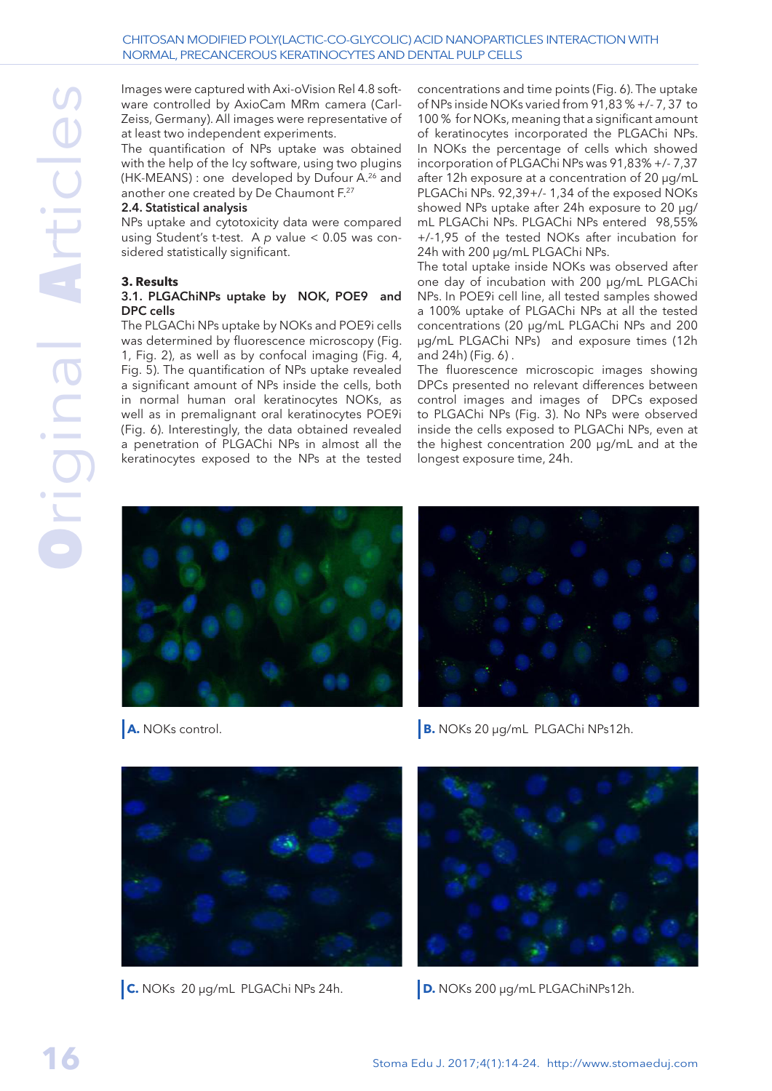Images were captured with Axi-oVision Rel 4.8 software controlled by AxioCam MRm camera (Carl-Zeiss, Germany). All images were representative of at least two independent experiments.

The quantification of NPs uptake was obtained with the help of the Icy software, using two plugins (HK-MEANS) : one developed by Dufour A.<sup>26</sup> and another one created by De Chaumont F.27

#### 2.4. Statistical analysis

NPs uptake and cytotoxicity data were compared using Student's t-test. A *p* value < 0.05 was considered statistically significant.

#### **3. Results**

#### 3.1. PLGAChiNPs uptake by NOK, POE9 and DPC cells

The PLGAChi NPs uptake by NOKs and POE9i cells was determined by fluorescence microscopy (Fig. 1, Fig. 2), as well as by confocal imaging (Fig. 4, Fig. 5). The quantification of NPs uptake revealed a significant amount of NPs inside the cells, both in normal human oral keratinocytes NOKs, as well as in premalignant oral keratinocytes POE9i (Fig. 6). Interestingly, the data obtained revealed a penetration of PLGAChi NPs in almost all the keratinocytes exposed to the NPs at the tested

concentrations and time points (Fig. 6). The uptake of NPs inside NOKs varied from 91,83 % +/- 7, 37 to 100 % for NOKs, meaning that a significant amount of keratinocytes incorporated the PLGAChi NPs. In NOKs the percentage of cells which showed incorporation of PLGAChi NPs was 91,83% +/- 7,37 after 12h exposure at a concentration of 20 μg/mL PLGAChi NPs. 92,39+/- 1,34 of the exposed NOKs showed NPs uptake after 24h exposure to 20 μg/ mL PLGAChi NPs. PLGAChi NPs entered 98,55% +/-1,95 of the tested NOKs after incubation for 24h with 200 μg/mL PLGAChi NPs.

The total uptake inside NOKs was observed after one day of incubation with 200 μg/mL PLGAChi NPs. In POE9i cell line, all tested samples showed a 100% uptake of PLGAChi NPs at all the tested concentrations (20 μg/mL PLGAChi NPs and 200 μg/mL PLGAChi NPs) and exposure times (12h and 24h) (Fig. 6) .

The fluorescence microscopic images showing DPCs presented no relevant differences between control images and images of DPCs exposed to PLGAChi NPs (Fig. 3). No NPs were observed inside the cells exposed to PLGAChi NPs, even at the highest concentration 200 μg/mL and at the longest exposure time, 24h.





**A.** NOKs control. **B.** NOKs 20 µg/mL PLGAChi NPs12h.





**C.** NOKs 20 µg/mL PLGAChi NPs 24h. **D.** NOKs 200 µg/mL PLGAChiNPs12h.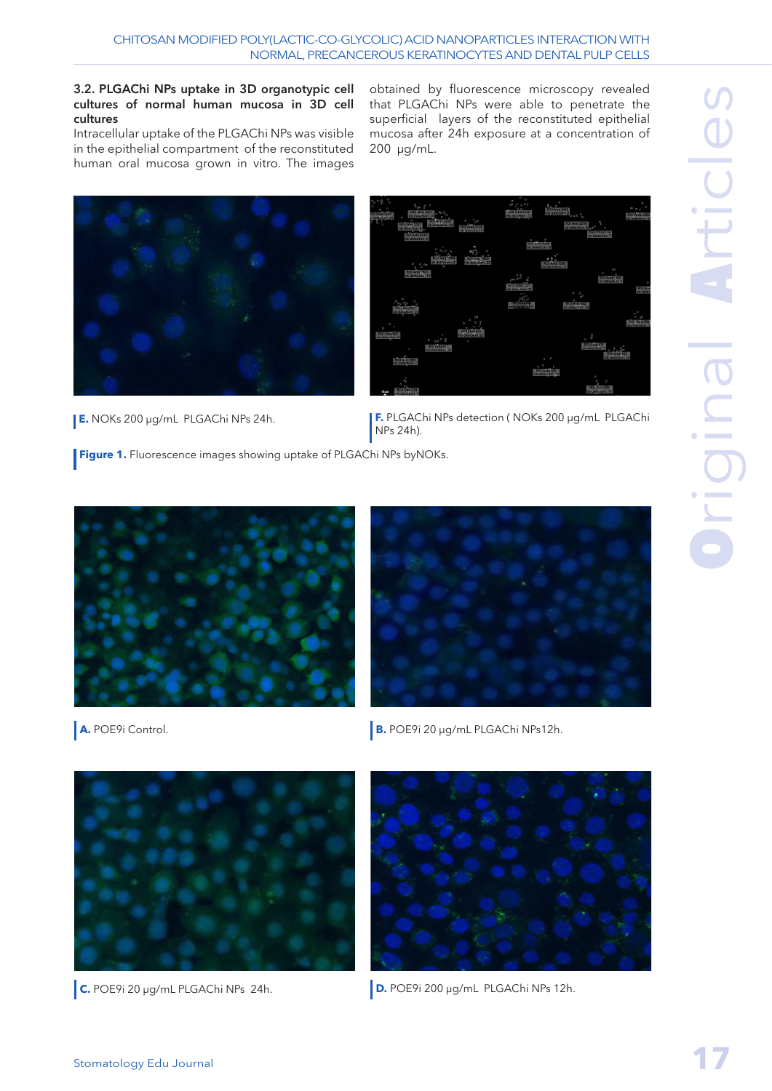#### 3.2. PLGAChi NPs uptake in 3D organotypic cell cultures of normal human mucosa in 3D cell cultures

Intracellular uptake of the PLGAChi NPs was visible in the epithelial compartment of the reconstituted human oral mucosa grown in vitro. The images

obtained by fluorescence microscopy revealed that PLGAChi NPs were able to penetrate the superficial layers of the reconstituted epithelial mucosa after 24h exposure at a concentration of 200 µg/mL.



| ç.                                                                                                                 | ್ಕೊಳೆ                                               |                                          |                                                        |                                        |                                         |                                                            | G.                                               |
|--------------------------------------------------------------------------------------------------------------------|-----------------------------------------------------|------------------------------------------|--------------------------------------------------------|----------------------------------------|-----------------------------------------|------------------------------------------------------------|--------------------------------------------------|
| $\mathcal{D}$<br>ø,<br>$\frac{\exp(\pi \tau_0 t)}{\frac{1}{2} \sum\limits_{i=1}^{N} \exp(\pi \tau_i t)}$<br>$\sim$ |                                                     | <b>HILL APPRENTS</b>                     |                                                        | <b>ROLLAND</b><br>nt determine 22      | 0.0<br>  Kölfere 2440<br>  Bedramped    | ه معرا                                                     | <b>Blaze</b><br>1801 Ann 2002<br>Machine San, 17 |
|                                                                                                                    | a<br><b>HOLDEN WALL</b>                             | <b>London St.S.</b><br>An Initiative St. | $^{\circ}_{\alpha^0}$<br>$\sigma$<br><b>LOOPERSTER</b> |                                        | <b>BOTAGERSY</b>                        | ٩,<br>re reaction 4 year.<br>ł                             |                                                  |
|                                                                                                                    | nb driveson B <sub>ar</sub><br>nb detection: 6      |                                          | rib detection is                                       | SF.                                    |                                         | Rich Avea 2114                                             |                                                  |
|                                                                                                                    |                                                     |                                          | <b>ROY Aves 1900</b><br>no detection: 9                |                                        |                                         |                                                            |                                                  |
|                                                                                                                    |                                                     | <b>BOTANISTORY</b>                       | <b>RO Mas 1980</b>                                     |                                        | r,P<br><b>BERTHERE</b>                  |                                                            |                                                  |
|                                                                                                                    | o<br>0.06                                           | 10 <sup>2</sup>                          |                                                        |                                        | <b>TO DAY ASSIGN TO</b>                 | $^{50}$                                                    |                                                  |
|                                                                                                                    |                                                     |                                          |                                                        | 43                                     |                                         | o.<br>$\alpha$<br>ROI Anna 1986<br><b>Gallerie Gallery</b> |                                                  |
|                                                                                                                    |                                                     |                                          |                                                        | <b>REFAIRE COV</b><br>to detaction: 20 |                                         |                                                            | <b>REIAD</b>                                     |
| $\sigma_{\rm{iso}}$                                                                                                | $\sim$                                              |                                          |                                                        | 3                                      | 131200                                  | 嚸                                                          |                                                  |
|                                                                                                                    | <b>School</b><br>no detection: 23<br>$\overline{a}$ |                                          |                                                        | $-34.00000$<br><b>DESCRIPTION</b>      |                                         |                                                            | ۰                                                |
| ø.<br>ø                                                                                                            |                                                     |                                          | P.<br>ó<br>ö                                           |                                        |                                         |                                                            | $U = qD$<br><b>Respublica</b><br>Transportante 1 |
| b.<br>100.000.000                                                                                                  |                                                     |                                          | <b>The Financial</b>                                   |                                        |                                         | ğ                                                          |                                                  |
|                                                                                                                    |                                                     | $50^{0} - 5$<br>P.<br><b>Sayfords</b>    | n.                                                     |                                        |                                         | $\circ$<br><b>ROTANE 4TT</b>                               |                                                  |
|                                                                                                                    | ó                                                   |                                          |                                                        |                                        |                                         | nb detection: T<br>i.                                      |                                                  |
|                                                                                                                    | <b>B</b> ahasa<br>na swartistic ?                   |                                          |                                                        |                                        | $D = 0$<br>$00$ $00$                    |                                                            |                                                  |
|                                                                                                                    |                                                     |                                          |                                                        |                                        | <b>750 Area 328</b><br>nt-cessorien: 12 |                                                            |                                                  |
|                                                                                                                    | $\sigma_{\rm D}^{\rm th}$<br>$D_{12}$               |                                          |                                                        |                                        |                                         | t.<br><b>ROLLER 245</b>                                    |                                                  |
| 10.49                                                                                                              | RG1Area 234<br>redstream: P                         |                                          |                                                        |                                        |                                         | nb cattection: 11                                          |                                                  |

**E.** NOKs 200 µg/mL PLGAChi NPs 24h. **F.** PLGAChi NPs detection ( NOKs 200 µg/mL PLGAChi NPs 24h).

**Figure 1.** Fluorescence images showing uptake of PLGAChi NPs byNOKs.





**A.** POE9i Control. **B.** POE9i 20 µg/mL PLGAChi NPs12h.





**C.** POE9i 20 µg/mL PLGAChi NPs 24h. **D.** POE9i 200 µg/mL PLGAChi NPs 12h.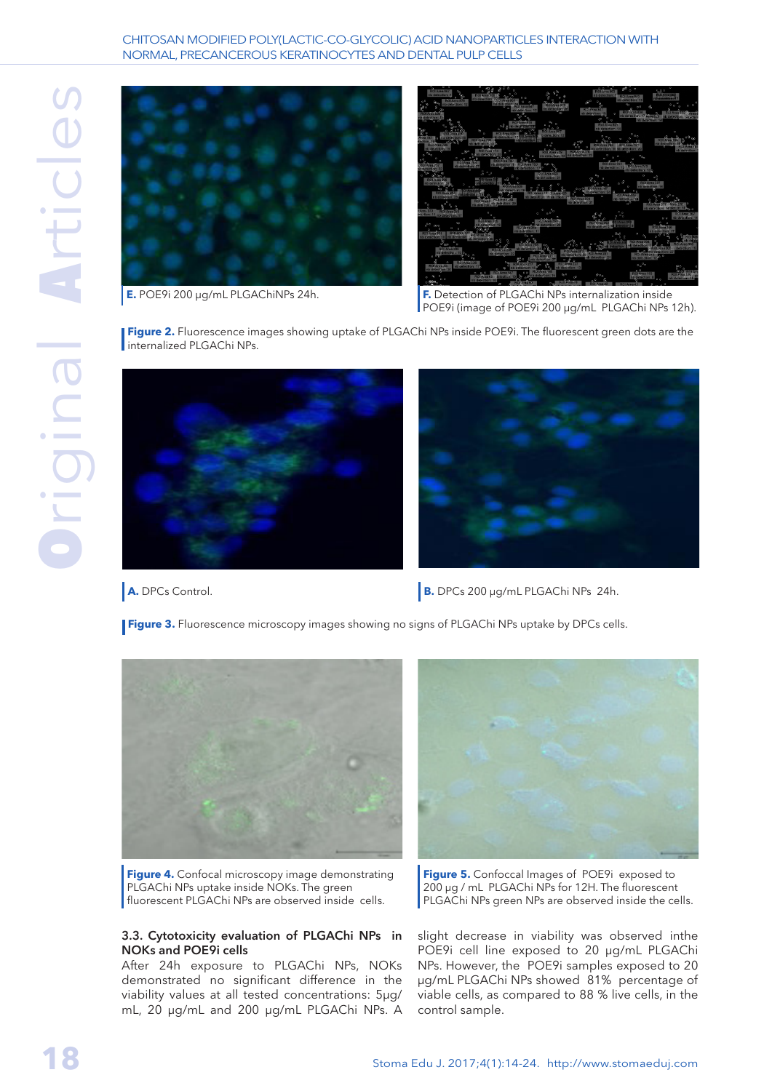#### CHITOSAN MODIFIED POLY(LACTIC-CO-GLYCOLIC) ACID NANOPARTICLES INTERACTION WITH NORMAL, PRECANCEROUS KERATINOCYTES AND DENTAL PULP CELLS



**E.** POE9i 200 µg/mL PLGAChiNPs 24h. **F.** Detection of PLGAChi NPs internalization inside POE9i (image of POE9i 200 µg/mL PLGAChi NPs 12h).

**Figure 2.** Fluorescence images showing uptake of PLGAChi NPs inside POE9i. The fluorescent green dots are the internalized PLGAChi NPs.





**A.** DPCs Control. **B.** DPCs 200 µg/mL PLGAChi NPs 24h.

**Figure 3.** Fluorescence microscopy images showing no signs of PLGAChi NPs uptake by DPCs cells.



**Figure 4.** Confocal microscopy image demonstrating PLGAChi NPs uptake inside NOKs. The green fluorescent PLGAChi NPs are observed inside cells.

#### 3.3. Cytotoxicity evaluation of PLGAChi NPs in NOKs and POE9i cells

After 24h exposure to PLGAChi NPs, NOKs demonstrated no significant difference in the viability values at all tested concentrations: 5μg/ mL, 20 μg/mL and 200 μg/mL PLGAChi NPs. A



**Figure 5.** Confoccal Images of POE9i exposed to 200 µg / mL PLGAChi NPs for 12H. The fluorescent PLGAChi NPs green NPs are observed inside the cells.

slight decrease in viability was observed inthe POE9i cell line exposed to 20 μg/mL PLGAChi NPs. However, the POE9i samples exposed to 20 μg/mL PLGAChi NPs showed 81% percentage of viable cells, as compared to 88 % live cells, in the control sample.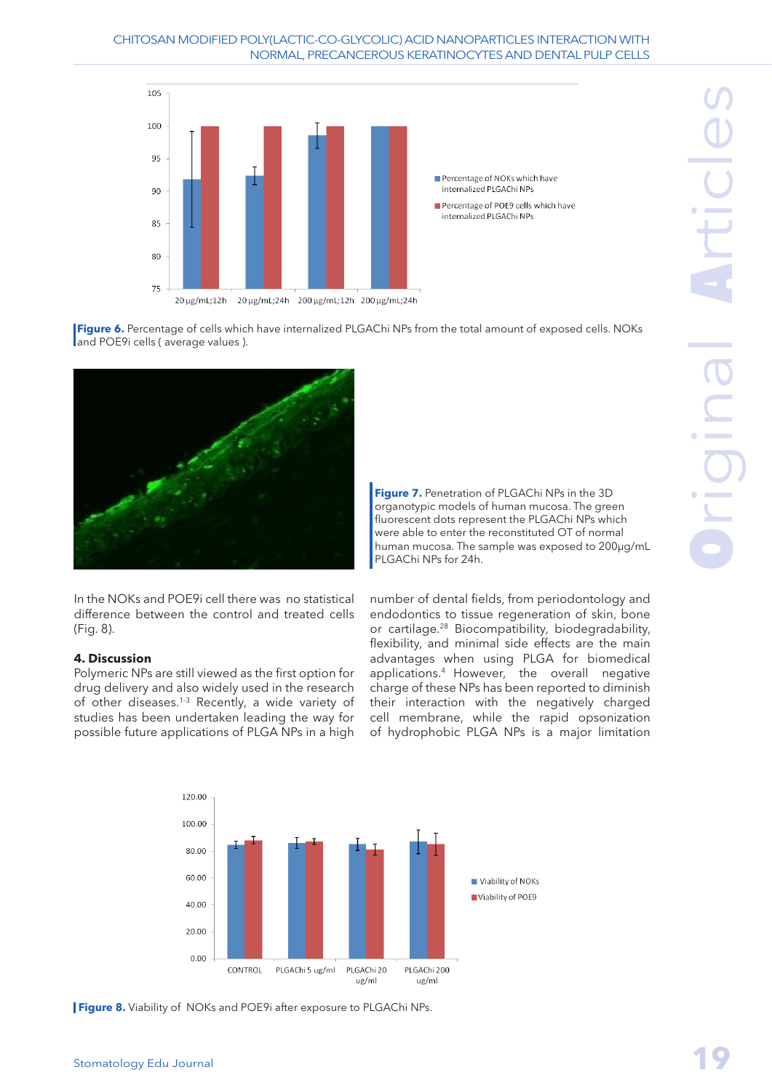

Percentage of NOKs which have internalized PLGAChi NPs Percentage of POE9 cells which have

internalized PLGAChi NPs



In the NOKs and POE9i cell there was no statistical difference between the control and treated cells (Fig. 8).

# **4. Discussion**

Polymeric NPs are still viewed as the first option for drug delivery and also widely used in the research of other diseases.<sup>1-3</sup> Recently, a wide variety of studies has been undertaken leading the way for possible future applications of PLGA NPs in a high

**Figure 7.** Penetration of PLGAChi NPs in the 3D organotypic models of human mucosa. The green fluorescent dots represent the PLGAChi NPs which were able to enter the reconstituted OT of normal human mucosa. The sample was exposed to 200µg/mL PLGAChi NPs for 24h.

number of dental fields, from periodontology and endodontics to tissue regeneration of skin, bone or cartilage.28 Biocompatibility, biodegradability, flexibility, and minimal side effects are the main advantages when using PLGA for biomedical applications.4 However, the overall negative charge of these NPs has been reported to diminish their interaction with the negatively charged cell membrane, while the rapid opsonization of hydrophobic PLGA NPs is a major limitation



**Figure 8.** Viability of NOKs and POE9i after exposure to PLGAChi NPs.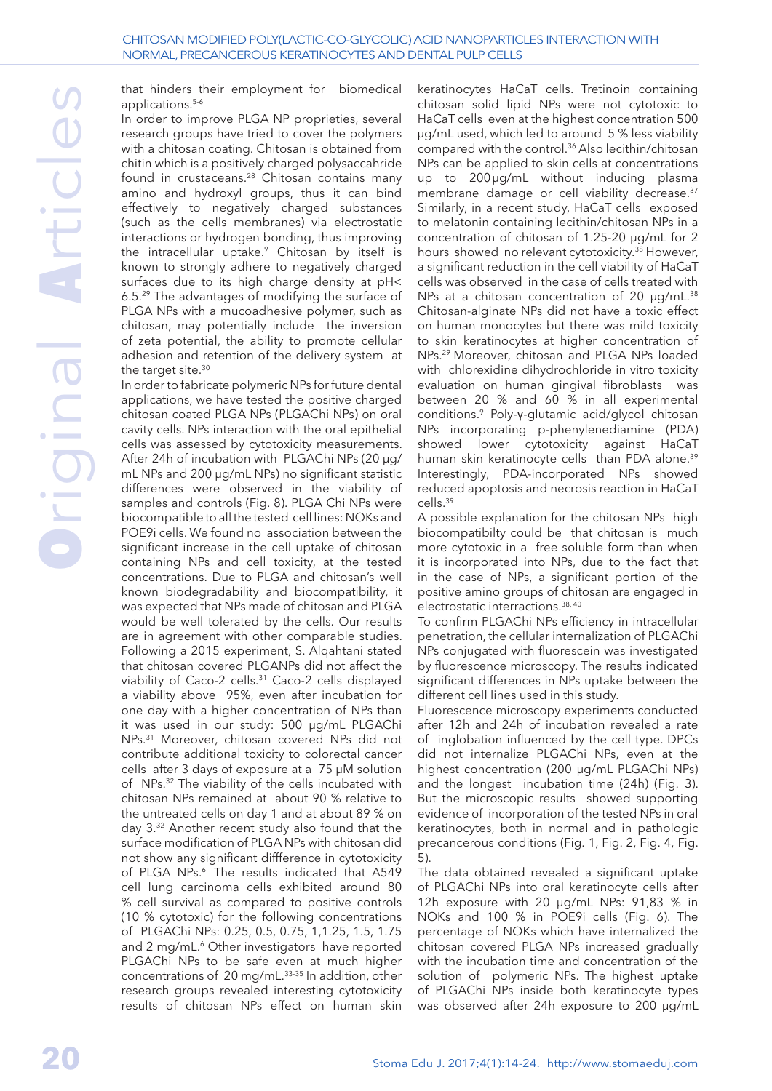that hinders their employment for biomedical applications.5-6

In order to improve PLGA NP proprieties, several research groups have tried to cover the polymers with a chitosan coating. Chitosan is obtained from chitin which is a positively charged polysaccahride found in crustaceans.<sup>28</sup> Chitosan contains many amino and hydroxyl groups, thus it can bind effectively to negatively charged substances (such as the cells membranes) via electrostatic interactions or hydrogen bonding, thus improving the intracellular uptake.<sup>9</sup> Chitosan by itself is known to strongly adhere to negatively charged surfaces due to its high charge density at pH< 6.5.29 The advantages of modifying the surface of PLGA NPs with a mucoadhesive polymer, such as chitosan, may potentially include the inversion of zeta potential, the ability to promote cellular adhesion and retention of the delivery system at the target site.<sup>30</sup>

In order to fabricate polymeric NPs for future dental applications, we have tested the positive charged chitosan coated PLGA NPs (PLGAChi NPs) on oral cavity cells. NPs interaction with the oral epithelial cells was assessed by cytotoxicity measurements. After 24h of incubation with PLGAChi NPs (20 μg/ mL NPs and 200 μg/mL NPs) no significant statistic differences were observed in the viability of samples and controls (Fig. 8). PLGA Chi NPs were biocompatible to all the tested cell lines: NOKs and POE9i cells. We found no association between the significant increase in the cell uptake of chitosan containing NPs and cell toxicity, at the tested concentrations. Due to PLGA and chitosan's well known biodegradability and biocompatibility, it was expected that NPs made of chitosan and PLGA would be well tolerated by the cells. Our results are in agreement with other comparable studies. Following a 2015 experiment, S. Alqahtani stated that chitosan covered PLGANPs did not affect the viability of Caco-2 cells.31 Caco-2 cells displayed a viability above 95%, even after incubation for one day with a higher concentration of NPs than it was used in our study: 500 μg/mL PLGAChi NPs.31 Moreover, chitosan covered NPs did not contribute additional toxicity to colorectal cancer cells after 3 days of exposure at a 75 μM solution of NPs.32 The viability of the cells incubated with chitosan NPs remained at about 90 % relative to the untreated cells on day 1 and at about 89 % on day 3.32 Another recent study also found that the surface modification of PLGA NPs with chitosan did not show any significant diffference in cytotoxicity of PLGA NPs.<sup>6</sup> The results indicated that A549 cell lung carcinoma cells exhibited around 80 % cell survival as compared to positive controls (10 % cytotoxic) for the following concentrations of PLGAChi NPs: 0.25, 0.5, 0.75, 1,1.25, 1.5, 1.75 and 2 mg/mL.<sup>6</sup> Other investigators have reported PLGAChi NPs to be safe even at much higher concentrations of 20 mg/mL.33-35 In addition, other research groups revealed interesting cytotoxicity results of chitosan NPs effect on human skin

keratinocytes HaCaT cells. Tretinoin containing chitosan solid lipid NPs were not cytotoxic to HaCaT cells even at the highest concentration 500 μg/mL used, which led to around 5 % less viability compared with the control.36 Also lecithin/chitosan NPs can be applied to skin cells at concentrations up to 200µg/mL without inducing plasma membrane damage or cell viability decrease.<sup>37</sup> Similarly, in a recent study, HaCaT cells exposed to melatonin containing lecithin/chitosan NPs in a concentration of chitosan of 1.25-20 μg/mL for 2 hours showed no relevant cytotoxicity.38 However, a significant reduction in the cell viability of HaCaT cells was observed in the case of cells treated with NPs at a chitosan concentration of 20 μg/mL.<sup>38</sup> Chitosan-alginate NPs did not have a toxic effect on human monocytes but there was mild toxicity to skin keratinocytes at higher concentration of NPs.29 Moreover, chitosan and PLGA NPs loaded with chlorexidine dihydrochloride in vitro toxicity evaluation on human gingival fibroblasts was between 20 % and 60 % in all experimental conditions.9 Poly-γ-glutamic acid/glycol chitosan NPs incorporating p-phenylenediamine (PDA) showed lower cytotoxicity against HaCaT human skin keratinocyte cells than PDA alone.<sup>39</sup> Interestingly, PDA-incorporated NPs showed reduced apoptosis and necrosis reaction in HaCaT cells.39

A possible explanation for the chitosan NPs high biocompatibilty could be that chitosan is much more cytotoxic in a free soluble form than when it is incorporated into NPs, due to the fact that in the case of NPs, a significant portion of the positive amino groups of chitosan are engaged in electrostatic interractions.38, 40

To confirm PLGAChi NPs efficiency in intracellular penetration, the cellular internalization of PLGAChi NPs conjugated with fluorescein was investigated by fluorescence microscopy. The results indicated significant differences in NPs uptake between the different cell lines used in this study.

Fluorescence microscopy experiments conducted after 12h and 24h of incubation revealed a rate of inglobation influenced by the cell type. DPCs did not internalize PLGAChi NPs, even at the highest concentration (200 μg/mL PLGAChi NPs) and the longest incubation time (24h) (Fig. 3). But the microscopic results showed supporting evidence of incorporation of the tested NPs in oral keratinocytes, both in normal and in pathologic precancerous conditions (Fig. 1, Fig. 2, Fig. 4, Fig. 5).

The data obtained revealed a significant uptake of PLGAChi NPs into oral keratinocyte cells after 12h exposure with 20 μg/mL NPs: 91,83 % in NOKs and 100 % in POE9i cells (Fig. 6). The percentage of NOKs which have internalized the chitosan covered PLGA NPs increased gradually with the incubation time and concentration of the solution of polymeric NPs. The highest uptake of PLGAChi NPs inside both keratinocyte types was observed after 24h exposure to 200 μg/mL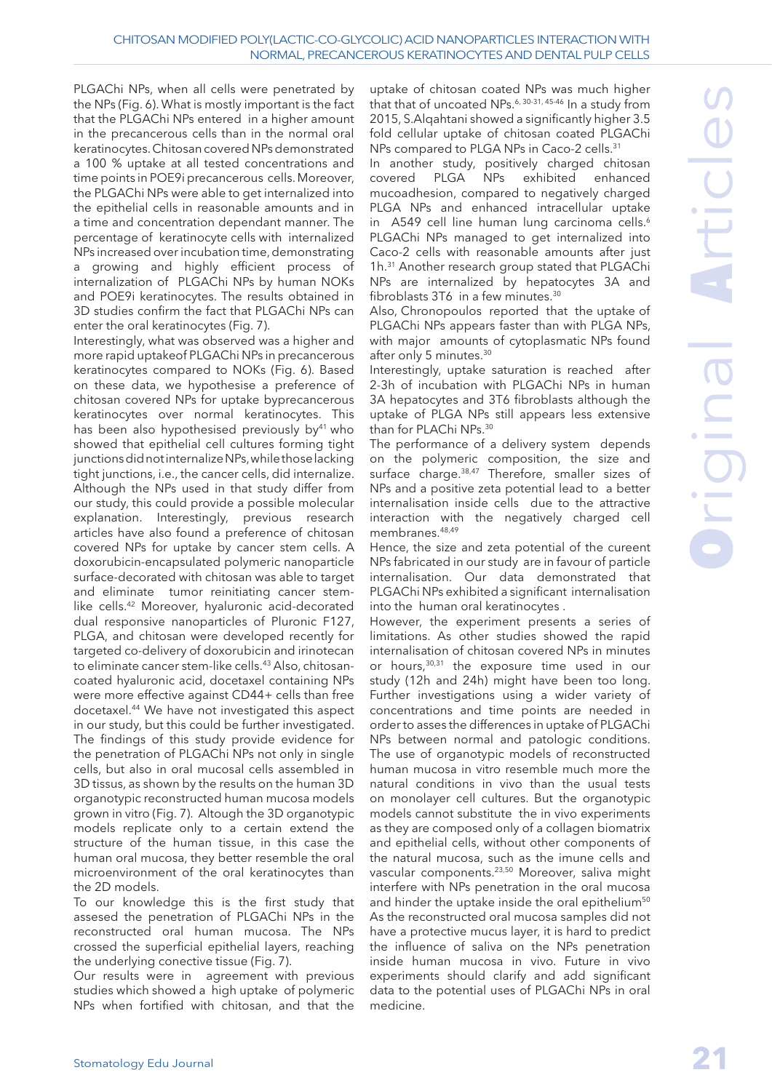#### CHITOSAN MODIFIED POLY(LACTIC-CO-GLYCOLIC) ACID NANOPARTICLES INTERACTION WITH NORMAL, PRECANCEROUS KERATINOCYTES AND DENTAL PULP CELLS

PLGAChi NPs, when all cells were penetrated by the NPs (Fig. 6). What is mostly important is the fact that the PLGAChi NPs entered in a higher amount in the precancerous cells than in the normal oral keratinocytes. Chitosan covered NPs demonstrated a 100 % uptake at all tested concentrations and time points in POE9i precancerous cells. Moreover, the PLGAChi NPs were able to get internalized into the epithelial cells in reasonable amounts and in a time and concentration dependant manner. The percentage of keratinocyte cells with internalized NPs increased over incubation time, demonstrating a growing and highly efficient process of internalization of PLGAChi NPs by human NOKs and POE9i keratinocytes. The results obtained in 3D studies confirm the fact that PLGAChi NPs can enter the oral keratinocytes (Fig. 7).

Interestingly, what was observed was a higher and more rapid uptakeof PLGAChi NPs in precancerous keratinocytes compared to NOKs (Fig. 6). Based on these data, we hypothesise a preference of chitosan covered NPs for uptake byprecancerous keratinocytes over normal keratinocytes. This has been also hypothesised previously by<sup>41</sup> who showed that epithelial cell cultures forming tight junctions did not internalize NPs, while those lacking tight junctions, i.e., the cancer cells, did internalize. Although the NPs used in that study differ from our study, this could provide a possible molecular explanation. Interestingly, previous research articles have also found a preference of chitosan covered NPs for uptake by cancer stem cells. A doxorubicin-encapsulated polymeric nanoparticle surface-decorated with chitosan was able to target and eliminate tumor reinitiating cancer stemlike cells.42 Moreover, hyaluronic acid-decorated dual responsive nanoparticles of Pluronic F127, PLGA, and chitosan were developed recently for targeted co-delivery of doxorubicin and irinotecan to eliminate cancer stem-like cells.43 Also, chitosancoated hyaluronic acid, docetaxel containing NPs were more effective against CD44+ cells than free docetaxel.44 We have not investigated this aspect in our study, but this could be further investigated. The findings of this study provide evidence for the penetration of PLGAChi NPs not only in single cells, but also in oral mucosal cells assembled in 3D tissus, as shown by the results on the human 3D organotypic reconstructed human mucosa models grown in vitro (Fig. 7). Altough the 3D organotypic models replicate only to a certain extend the structure of the human tissue, in this case the human oral mucosa, they better resemble the oral microenvironment of the oral keratinocytes than the 2D models.

To our knowledge this is the first study that assesed the penetration of PLGAChi NPs in the reconstructed oral human mucosa. The NPs crossed the superficial epithelial layers, reaching the underlying conective tissue (Fig. 7).

Our results were in agreement with previous studies which showed a high uptake of polymeric NPs when fortified with chitosan, and that the

uptake of chitosan coated NPs was much higher that that of uncoated NPs.<sup>6, 30-31, 45-46</sup> In a study from 2015, S.Alqahtani showed a significantly higher 3.5 fold cellular uptake of chitosan coated PLGAChi NPs compared to PLGA NPs in Caco-2 cells.<sup>31</sup>

In another study, positively charged chitosan covered PLGA NPs exhibited enhanced mucoadhesion, compared to negatively charged PLGA NPs and enhanced intracellular uptake in A549 cell line human lung carcinoma cells.<sup>6</sup> PLGAChi NPs managed to get internalized into Caco-2 cells with reasonable amounts after just 1h.31 Another research group stated that PLGAChi NPs are internalized by hepatocytes 3A and fibroblasts 3T6 in a few minutes.<sup>30</sup>

Also, Chronopoulos reported that the uptake of PLGAChi NPs appears faster than with PLGA NPs, with major amounts of cytoplasmatic NPs found after only 5 minutes.<sup>30</sup>

Interestingly, uptake saturation is reached after 2-3h of incubation with PLGAChi NPs in human 3A hepatocytes and 3T6 fibroblasts although the uptake of PLGA NPs still appears less extensive than for PLAChi NPs.30

The performance of a delivery system depends on the polymeric composition, the size and surface charge.<sup>38,47</sup> Therefore, smaller sizes of NPs and a positive zeta potential lead to a better internalisation inside cells due to the attractive interaction with the negatively charged cell membranes.48,49

Hence, the size and zeta potential of the cureent NPs fabricated in our study are in favour of particle internalisation. Our data demonstrated that PLGAChi NPs exhibited a significant internalisation into the human oral keratinocytes .

However, the experiment presents a series of limitations. As other studies showed the rapid internalisation of chitosan covered NPs in minutes or hours,30,31 the exposure time used in our study (12h and 24h) might have been too long. Further investigations using a wider variety of concentrations and time points are needed in order to asses the differences in uptake of PLGAChi NPs between normal and patologic conditions. The use of organotypic models of reconstructed human mucosa in vitro resemble much more the natural conditions in vivo than the usual tests on monolayer cell cultures. But the organotypic models cannot substitute the in vivo experiments as they are composed only of a collagen biomatrix and epithelial cells, without other components of the natural mucosa, such as the imune cells and vascular components.23,50 Moreover, saliva might interfere with NPs penetration in the oral mucosa and hinder the uptake inside the oral epithelium<sup>50</sup> As the reconstructed oral mucosa samples did not have a protective mucus layer, it is hard to predict the influence of saliva on the NPs penetration inside human mucosa in vivo. Future in vivo experiments should clarify and add significant data to the potential uses of PLGAChi NPs in oral medicine.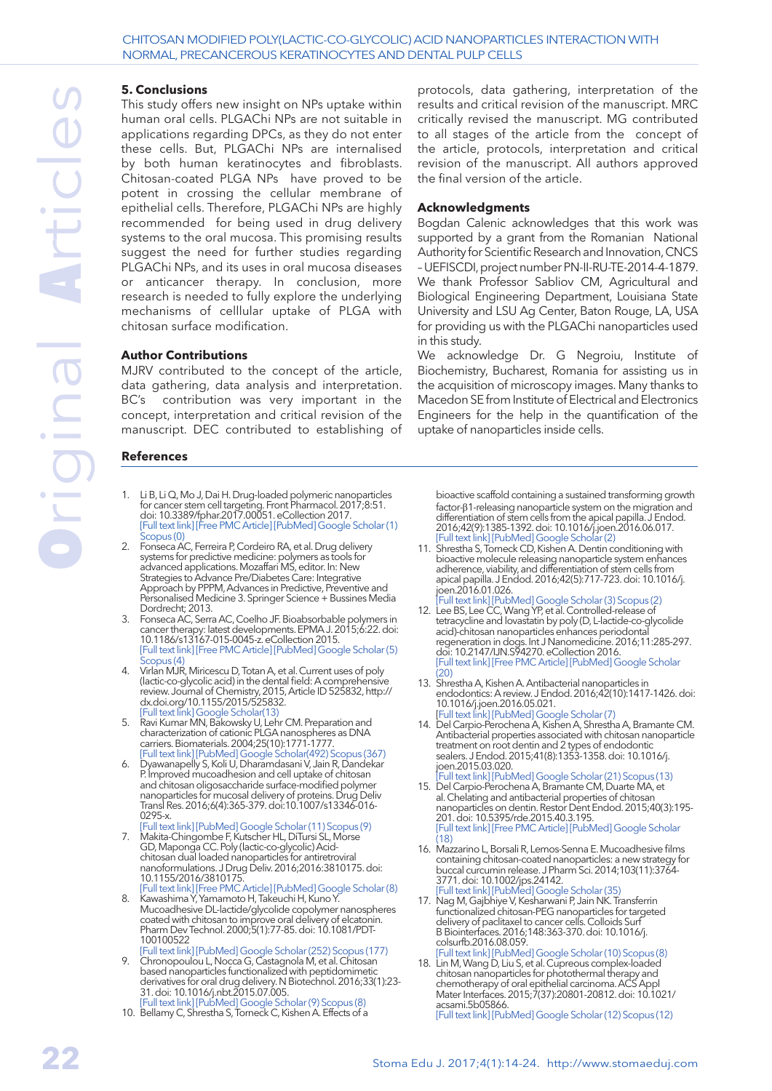#### **5. Conclusions**

This study offers new insight on NPs uptake within human oral cells. PLGAChi NPs are not suitable in applications regarding DPCs, as they do not enter these cells. But, PLGAChi NPs are internalised by both human keratinocytes and fibroblasts. Chitosan-coated PLGA NPs have proved to be potent in crossing the cellular membrane of epithelial cells. Therefore, PLGAChi NPs are highly recommended for being used in drug delivery systems to the oral mucosa. This promising results suggest the need for further studies regarding PLGAChi NPs, and its uses in oral mucosa diseases or anticancer therapy. In conclusion, more research is needed to fully explore the underlying mechanisms of celllular uptake of PLGA with chitosan surface modification.

#### **Author Contributions**

MJRV contributed to the concept of the article, data gathering, data analysis and interpretation. BC's contribution was very important in the concept, interpretation and critical revision of the manuscript. DEC contributed to establishing of

#### **References**

- 1. Li B, Li Q, Mo J, Dai H. Drug-loaded polymeric nanoparticles for cancer stem cell targeting. [Front Pharmacol.](https://www.ncbi.nlm.nih.gov/pubmed/?term=Li+B%2C+Li+Q%2C+Mo+J%2C+Dai+H.+Drug-loaded+polymeric+nanoparticles+for+cancer+stem+cell+targeting.+Frontiers+in+Pharmacology%2C+2017%2C++Feb+14%3B8%3A51.) 2017;8:51. doi: 10.3389/fphar.2017.00051. eCollection 2017. [\[Full text link](https://dx.doi.org/10.3389/fphar.2017.00051)] [\[Free PMC Article\]](https://www.ncbi.nlm.nih.gov/pmc/articles/pmid/28261093) [\[PubMed\]](https://www.ncbi.nlm.nih.gov/pubmed/28261093) [Google Scholar \(1\)](https://scholar.google.com/scholar?cluster=7514194659185168254&hl=en&as_sdt=0,5)  $\mathop{\text{copus}}\nolimits(0)$
- 2. Fonseca AC, Ferreira P, Cordeiro RA, et al. Drug delivery systems for predictive medicine: polymers as tools for advanced applications. Mozaffari MS, editor. In: New Strategies to Advance Pre/Diabetes Care: Integrative Approach by PPPM, Advances in Predictive, Preventive and Personalised Medicine 3. Springer Science + Bussines Media Dordrecht; 2013.
- 3. Fonseca AC, Serra AC, Coelho JF. Bioabsorbable polymers in cancer therapy: latest developments. [EPMA J.](https://www.ncbi.nlm.nih.gov/pubmed/?term=Fonseca+AC%2C+Serra+AC%2C+Coelho+JFJ.+Bioabsorbable+polymers+in+cancer+therapy%3A+latest+developments.+EPMA+J.%2C) 2015;6:22. doi: 10.1186/s13167-015-0045-z. eCollection 2015. [\[Full text link](https://dx.doi.org/10.1186/s13167-015-0045-z)] [\[Free PMC Article\]](https://www.ncbi.nlm.nih.gov/pmc/articles/pmid/26605001) [\[PubMed\]](https://www.ncbi.nlm.nih.gov/pubmed/26605001) [Google Scholar \(5\)](https://scholar.google.com/scholar?cluster=11604144913607035403&hl=en&as_sdt=0,5)  $copus<sub>(4)</sub>$
- 4. Virlan MJR, Miricescu D, Totan A, et al. Current uses of poly (lactic-co-glycolic acid) in the dental field: A comprehensive review. Journal of Chemistry, 2015, Article ID 525832, [http://](http://dx.doi.org/10.1155/2015/525832) [dx.doi.org/10.1155/2015/525832.](http://dx.doi.org/10.1155/2015/525832) Full text link] [Google Scholar\(13\)](https://scholar.google.com/scholar?cluster=15919379773802018663&hl=en&as_sdt=0,5)
- 5. Ravi Kumar MN, Bakowsky U, Lehr CM. Preparation and characterization of cationic PLGA nanospheres as DNA carriers. [Biomaterials.](https://www.ncbi.nlm.nih.gov/pubmed/?term=Kumar+MR%2C+Bakowsky+U%2C+Lehr+CM.+Preparation+and+characterization+of+cationic+PLGA+nanospheres+as+DNA+carriers.+Biomaterials+2004%2C+25(10)%2C+1771-1777.) 2004;25(10):1771-1777. [\[Full text link](http://linkinghub.elsevier.com/retrieve/pii/S0142961203006884)] [\[PubMed](https://www.ncbi.nlm.nih.gov/pubmed/14738840)] [Google Scholar\(492\)](https://scholar.google.com/scholar?cluster=5346617478855923808&hl=en&as_sdt=0,5) [Scopus \(367\)](https://www.scopus.com/record/display.uri?eid=2-s2.0-0347761356&origin=resultslist&sort=plf-t&src=s&st1=Preparation+and+characterization+of+cationic+PLGA+nanospheres+as+DNA+carriers.&st2=&sid=61ec04a84b979e4c8c0b6adab0f0579e&sot=b&sdt=b&sl=93&s=TITLE-ABS-KEY%28Preparation+and+characterization+of+cationic+PLGA+nanospheres+as+DNA+carriers.%29&relpos=0&citeCnt=367&searchTerm=)
- 6. Dyawanapelly S, Koli U, Dharamdasani V, Jain R, Dandekar P. Improved mucoadhesion and cell uptake of chitosan and chitosan oligosaccharide surface-modified polymer nanoparticles for mucosal delivery of proteins. Drug Deliv Transl Res. 2016;6(4):365-379. doi:10.1007/s13346-016- 0295-x.
- [\[Full text link](https://dx.doi.org/10.1007/s13346-016-0295-x)] [\[PubMed](https://www.ncbi.nlm.nih.gov/pubmed/27106502)] [Google Scholar \(11\)](https://scholar.google.com/scholar?cluster=171581790647932012&hl=en&as_sdt=0,5) [Scopus \(9\)](https://www.scopus.com/record/display.uri?eid=2-s2.0-84979010869&origin=resultslist&sort=plf-t&src=s&st1=Improved+mucoadhesion+and+cell+uptake+of+chitosan+and+chitosan+oligosaccharide+surface-modified+polymer+nanoparticles+for+mucosal+delivery+of+proteins&st2=&sid=61ec04a84b979e4c8c0b6adab0f0579e&sot=b&sdt=b&sl=165&s=TITLE-ABS-KEY%28Improved+mucoadhesion+and+cell+uptake+of+chitosan+and+chitosan+oligosaccharide+surface-modified+polymer+nanoparticles+for+mucosal+delivery+of+proteins%29&relpos=0&citeCnt=9&searchTerm=) 7. Makita-Chingombe F, Kutscher HL, DiTursi SL, Morse GD, Maponga CC. Poly (lactic-co-glycolic) Acidchitosan dual loaded nanoparticles for antiretroviral
- nanoformulations. [J Drug Deliv.](https://www.ncbi.nlm.nih.gov/pubmed/?term=Makita-Chingombe+F%2C+Kutscher+HL%2C+DiTursi+SL%2C+Morse+GD%2CMaponga+CC.+Poly+(lactic-co-glycolic)+Acid-Chitosan+Dual+Loaded+Nanoparticles+for+Antiretroviral+Nanoformulations.+Journal+of+drug+delivery%2C+2016.) 2016;2016:3810175. doi: 10.1155/2016/3810175. [\[Full text link](https://dx.doi.org/10.1155/2016/3810175)] [\[Free PMC Article\]](https://www.ncbi.nlm.nih.gov/pmc/articles/pmid/27190651) [\[PubMed\]](https://www.ncbi.nlm.nih.gov/pubmed/27190651) [Google Scholar \(8\)](https://scholar.google.com/scholar?lookup=0&q=Poly(lactic-co-glycolic)+Acid-Chitosan+Dual+Loaded+Nanoparticles+for+Antiretroviral+Nanoformulations.&hl=en&as_sdt=0,5)
- 8. Kawashima Y, Yamamoto H, Takeuchi H, Kuno Y. Mucoadhesive DL-lactide/glycolide copolymer nanospheres coated with chitosan to improve oral delivery of elcatonin. [Pharm Dev Technol.](https://www.ncbi.nlm.nih.gov/pubmed/?term=Kawashima+Y%2C+Yamamoto+H%2C+Takeuchi+H%2CKuno+Y.Mucoadhesive+DL-lactide%2Fglycolide+copolymer+nanospheres+coated+with+chitosan+to+improve+oral+delivery+of+elcatonin.+Pharmaceutical+development+and+technology+2000%2C+5(1)%2C+77-85.) 2000;5(1):77-85. doi: 10.1081/PDT-100100522
- [\[Full text link](http://www.tandfonline.com/doi/full/10.1081/PDT-100100522)] [\[PubMed](https://www.ncbi.nlm.nih.gov/pubmed/10669921)] [Google Scholar \(252\)](https://scholar.google.com/scholar?cluster=511820878221549601&hl=en&as_sdt=0,5) [Scopus \(177\)](https://www.scopus.com/record/display.uri?eid=2-s2.0-0033969945&origin=resultslist&sort=plf-t&src=s&st1=Mucoadhesive+DL-lactide%2fglycolide+copolymer+nanospheres+coated+with+chitosan+to+improve+oral+delivery+of+elcatonin&st2=&sid=61ec04a84b979e4c8c0b6adab0f0579e&sot=b&sdt=b&sl=121&s=TITLE%28Mucoadhesive+DL-lactide%2fglycolide+copolymer+nanospheres+coated+with+chitosan+to+improve+oral+delivery+of+elcatonin%29&relpos=0&citeCnt=177&searchTerm=) 9. Chronopoulou L, Nocca G, Castagnola M, et al. Chitosan based nanoparticles functionalized with peptidomimetic derivatives for oral drug delivery. [N Biotechnol.](https://www.ncbi.nlm.nih.gov/pubmed/?term=Chronopoulou+L%2C+Nocca+G%2C+Castagnola+M%2C+et+al.+Chitosan+based+nanoparticles+functionalized+with+peptidomimetic+derivatives+for+oral+drug+delivery.+New+biotechnology%2C+2016%2C+33(1)%2C+23-31.) 2016;33(1):23- 31. doi: 10.1016/j.nbt.2015.07.005.
- [\[Full text link](http://linkinghub.elsevier.com/retrieve/pii/S1871-6784(15)00125-9)] [\[PubMed](https://www.ncbi.nlm.nih.gov/pubmed/26257139)] [Google Scholar \(9\)](https://scholar.google.com/scholar?cluster=17436856822852175421&hl=en&as_sdt=0,5) [Scopus \(8\)](https://www.scopus.com/record/display.uri?eid=2-s2.0-84939437236&origin=resultslist&sort=plf-t&src=s&st1=Chitosan+based+nanoparticles+functionalized+with+peptidomimetic+derivatives+for+oral+drug+delivery&st2=&sid=61ec04a84b979e4c8c0b6adab0f0579e&sot=b&sdt=b&sl=105&s=TITLE%28Chitosan+based+nanoparticles+functionalized+with+peptidomimetic+derivatives+for+oral+drug+delivery%29&relpos=0&citeCnt=8&searchTerm=) 10. Bellamy C, Shrestha S, Torneck C, Kishen A. Effects of a

protocols, data gathering, interpretation of the results and critical revision of the manuscript. MRC critically revised the manuscript. MG contributed to all stages of the article from the concept of the article, protocols, interpretation and critical revision of the manuscript. All authors approved the final version of the article.

#### **Acknowledgments**

Bogdan Calenic acknowledges that this work was supported by a grant from the Romanian National Authority for Scientific Research and Innovation, CNCS – UEFISCDI, project number PN-II-RU-TE-2014-4-1879. We thank Professor Sabliov CM, Agricultural and Biological Engineering Department, Louisiana State University and LSU Ag Center, Baton Rouge, LA, USA for providing us with the PLGAChi nanoparticles used in this study.

We acknowledge Dr. G Negroiu, Institute of Biochemistry, Bucharest, Romania for assisting us in the acquisition of microscopy images. Many thanks to Macedon SE from Institute of Electrical and Electronics Engineers for the help in the quantification of the uptake of nanoparticles inside cells.

bioactive scaffold containing a sustained transforming growth factor-β1-releasing nanoparticle system on the migration and differentiation of stem cells from the apical papilla. [J Endod.](https://www.ncbi.nlm.nih.gov/pubmed/27484250) 2016;42(9):1385-1392. doi: 10.1016/j.joen.2016.06.017. [\[Full text link\]](http://linkinghub.elsevier.com/retrieve/pii/S0099-2399(16)30372-7) [\[PubMed\]](https://www.ncbi.nlm.nih.gov/pubmed/27484250) [Google Scholar \(2\)](https://scholar.google.com/scholar?cluster=6571912053457608593&hl=en&as_sdt=0,5)

- 11. Shrestha S, Torneck CD, Kishen A. Dentin conditioning with bioactive molecule releasing nanoparticle system enhances adherence, viability, and differentiation of stem cells from apical papilla. [J Endod.](https://www.ncbi.nlm.nih.gov/pubmed/?term=Dentin+Conditioning+with+Bioactive+Molecule+Releasing+Nanoparticle+System+Enhances+Adherence%2C+Viability%2C+and+Differentiation+of+Stem+Cells+from+Apical+Papilla.) 2016;42(5):717-723. doi: 10.1016/j. joen.2016.01.026.
- [\[Full text link\]](http://linkinghub.elsevier.com/retrieve/pii/S0099-2399(16)00097-2) [\[PubMed\]](https://www.ncbi.nlm.nih.gov/pubmed/26960576) [Google Scholar \(3\)](https://scholar.google.com/scholar?cluster=1789254716428683487&hl=en&as_sdt=0,5) [Scopus \(2\)](https://www.scopus.com/record/display.uri?eid=2-s2.0-84959571430&origin=resultslist&sort=plf-t&src=s&st1=Dentin+conditioning+with+bioactive+molecule+releasing+nanoparticle+system+enhances+adherence%2c+viability%2c+and+differentiation+of+stem+cells+from+apical+papilla.&st2=&sid=61ec04a84b979e4c8c0b6adab0f0579e&sot=b&sdt=b&sl=166&s=TITLE%28Dentin+conditioning+with+bioactive+molecule+releasing+nanoparticle+system+enhances+adherence%2c+viability%2c+and+differentiation+of+stem+cells+from+apical+papilla.%29&relpos=0&citeCnt=2&searchTerm=) 12. Lee BS, Lee CC, Wang YP, et al. Controlled-release of tetracycline and lovastatin by poly (D, L-lactide-co-glycolide acid)-chitosan nanoparticles enhances periodontal regeneration in dogs. [Int J Nanomedicine.](https://www.ncbi.nlm.nih.gov/pubmed/?term=Lee+BS%2C+Lee+CC%2C+Wang+YP%2C+et+al.+Controlled-release+of+tetracycline+and+lovastatin+by+poly+(d%2C+l-lactide-co-glycolide+acid)-chitosan+nanoparticles+enhances+periodontal+regeneration+in+dogs.+International+journal+of+nanomedicine+2016%2C+11%2C+285.) 2016;11:285-297. doi: 10.2147/IJN.S94270. eCollection 2016. [\[Full text link\]](https://dx.doi.org/10.2147/IJN.S94270) [\[Free PMC Article\]](https://www.ncbi.nlm.nih.gov/pmc/articles/pmid/26848264/) [\[PubMed\]](https://www.ncbi.nlm.nih.gov/pubmed/26848264) Google Scholar  $(20)$
- 13. Shrestha A, Kishen A. Antibacterial nanoparticles in endodontics: A review. [J Endod.](https://www.ncbi.nlm.nih.gov/pubmed/?term=Shrestha+A%2C+Kishen+A.+Antibacterial+nanoparticles+in+endodontics%3A+A+review.+Journal+of+endodontics%2C+2016%2C+42(10)%2C+1417-1426.) 2016;42(10):1417-1426. doi: 10.1016/j.joen.2016.05.021. [\[Full text link\]](http://linkinghub.elsevier.com/retrieve/pii/S0099-2399(16)30294-1) [\[PubMed\]](https://www.ncbi.nlm.nih.gov/pubmed/27520408) [Google Scholar \(7\)](https://scholar.google.com/scholar?cluster=6713420428120410497&hl=en&as_sdt=0,5)
- 14. Del Carpio-Perochena A, Kishen A, Shrestha A, Bramante CM. Antibacterial properties associated with chitosan nanoparticle treatment on root dentin and 2 types of endodontic sealers. [J Endod.](https://www.ncbi.nlm.nih.gov/pubmed/?term=Antibacterial+properties+associated+with+chitosan+nanoparticle+treatment+on+root+dentin+and+2+types+of+endodontic+sealers.) 2015;41(8):1353-1358. doi: 10.1016/j. joen.2015.03.020.
- [\[Full text link\]](http://linkinghub.elsevier.com/retrieve/pii/S0099-2399(15)00301-5) [\[PubMed\]](https://www.ncbi.nlm.nih.gov/pubmed/25958178) [Google Scholar \(21\)](https://scholar.google.com/scholar?cluster=3123583362507170624&hl=en&as_sdt=0,5) [Scopus \(13\)](https://www.scopus.com/record/display.uri?eid=2-s2.0-84943617331&origin=resultslist&sort=plf-t&src=s&st1=Antibacterial+properties+associated+with+chitosan+nanoparticle+treatment+on+root+dentin+and+2+types+of+endodontic+sealers.&st2=&sid=61ec04a84b979e4c8c0b6adab0f0579e&sot=b&sdt=b&sl=129&s=TITLE%28Antibacterial+properties+associated+with+chitosan+nanoparticle+treatment+on+root+dentin+and+2+types+of+endodontic+sealers.%29&relpos=0&citeCnt=13&searchTerm=) 15. Del Carpio-Perochena A, Bramante CM, Duarte MA, et al. Chelating and antibacterial properties of chitosan nanoparticles on dentin. [Restor Dent Endod.](https://www.ncbi.nlm.nih.gov/pubmed/?term=Chelating+and+antibacterial+properties+of+chitosan+nanoparticles+on+dentin.+Restorative+dentistry+%26+endodontics+2015%2C+40(3)%2C+195-201.) 2015;40(3):195- 201. doi: 10.5395/rde.2015.40.3.195. [\[Full text link\]](https://rde.ac/DOIx.php?id=10.5395/rde.2015.40.3.195) [\[Free PMC Article\]](https://www.ncbi.nlm.nih.gov/pmc/articles/pmid/26295022/) [\[PubMed\]](https://www.ncbi.nlm.nih.gov/pubmed/26295022) [Google Scholar](https://scholar.google.com/scholar?cluster=2285767675348483875&hl=en&as_sdt=0,5)   $(18)$
- 16. Mazzarino L, Borsali R, Lemos-Senna E. Mucoadhesive films containing chitosan-coated nanoparticles: a new strategy for buccal curcumin release. [J Pharm Sci.](https://www.ncbi.nlm.nih.gov/pubmed/?term=Mucoadhesive+Films+Containing+Chitosan%E2%80%90Coated+Nanoparticles%3A+A+New+Strategy+for+Buccal+Curcumin+Release.) 2014;103(11):3764- 3771. doi: 10.1002/jps.24142.
- [\[Full text link\]](http://linkinghub.elsevier.com/retrieve/pii/S0022-3549(15)30346-4) [\[PubMed\]](https://www.ncbi.nlm.nih.gov/pubmed/25187001) [Google Scholar \(35\)](https://scholar.google.com/scholar?cluster=12207976222234564622&hl=en&as_sdt=0,5) 17. Nag M, Gajbhiye V, Kesharwani P, Jain NK. Transferrin functionalized chitosan-PEG nanoparticles for targeted delivery of paclitaxel to cancer cells. [Colloids Surf](https://www.ncbi.nlm.nih.gov/pubmed/?term=Nag+M%2C+Gajbhiye+V%2C+Kesharwani+P%2C+Jain+NK.+Transferrin+functionalized+chitosan-PEG+nanoparticles+for+targeted+delivery+of+paclitaxel+to+cancer+cells.+Colloids+and+Surfaces+B%3A+Biointerfaces+2016%2C+148%2C+363-370.)  [B Biointerfaces.](https://www.ncbi.nlm.nih.gov/pubmed/?term=Nag+M%2C+Gajbhiye+V%2C+Kesharwani+P%2C+Jain+NK.+Transferrin+functionalized+chitosan-PEG+nanoparticles+for+targeted+delivery+of+paclitaxel+to+cancer+cells.+Colloids+and+Surfaces+B%3A+Biointerfaces+2016%2C+148%2C+363-370.) 2016;148:363-370. doi: 10.1016/j. colsurfb.2016.08.059.
- [\[Full text link\]](http://linkinghub.elsevier.com/retrieve/pii/S0927-7765(16)30636-1) [\[PubMed\]](https://www.ncbi.nlm.nih.gov/pubmed/27632697) [Google Scholar \(10\)](https://scholar.google.com/scholar?cluster=517736427983347705&hl=en&as_sdt=0,5) Scopus (8) 18. Lin M, Wang D, Liu S, et al. Cupreous complex-loaded chitosan nanoparticles for photothermal therapy and chemotherapy of oral epithelial carcinoma. [ACS Appl](https://www.ncbi.nlm.nih.gov/pubmed/?term=Cupreous+Complex-Loaded+Chitosan+Nanoparticles+for+Photothermal+Therapy+and+Chemotherapy+of+Oral+Epithelial+Carcinoma.)  [Mater Interfaces.](https://www.ncbi.nlm.nih.gov/pubmed/?term=Cupreous+Complex-Loaded+Chitosan+Nanoparticles+for+Photothermal+Therapy+and+Chemotherapy+of+Oral+Epithelial+Carcinoma.) 2015;7(37):20801-20812. doi: 10.1021/ acsami.5b05866.

[\[Full text link\]](https://dx.doi.org/10.1021/acsami.5b05866) [\[PubMed\]](https://www.ncbi.nlm.nih.gov/pubmed/26339804) [Google Scholar \(12\)](https://scholar.google.com/scholar?cluster=8431219177229979567&hl=en&as_sdt=0,5) [Scopus \(12\)](https://www.scopus.com/record/display.uri?eid=2-s2.0-84942540589&origin=resultslist&sort=plf-t&src=s&st1=Cupreous+complex-loaded+chitosan+nanoparticles+for+photothermal+therapy+and+chemotherapy+of+oral+epithelial+carcinoma&st2=&sid=61ec04a84b979e4c8c0b6adab0f0579e&sot=b&sdt=b&sl=124&s=TITLE%28Cupreous+complex-loaded+chitosan+nanoparticles+for+photothermal+therapy+and+chemotherapy+of+oral+epithelial+carcinoma%29&relpos=0&citeCnt=12&searchTerm=)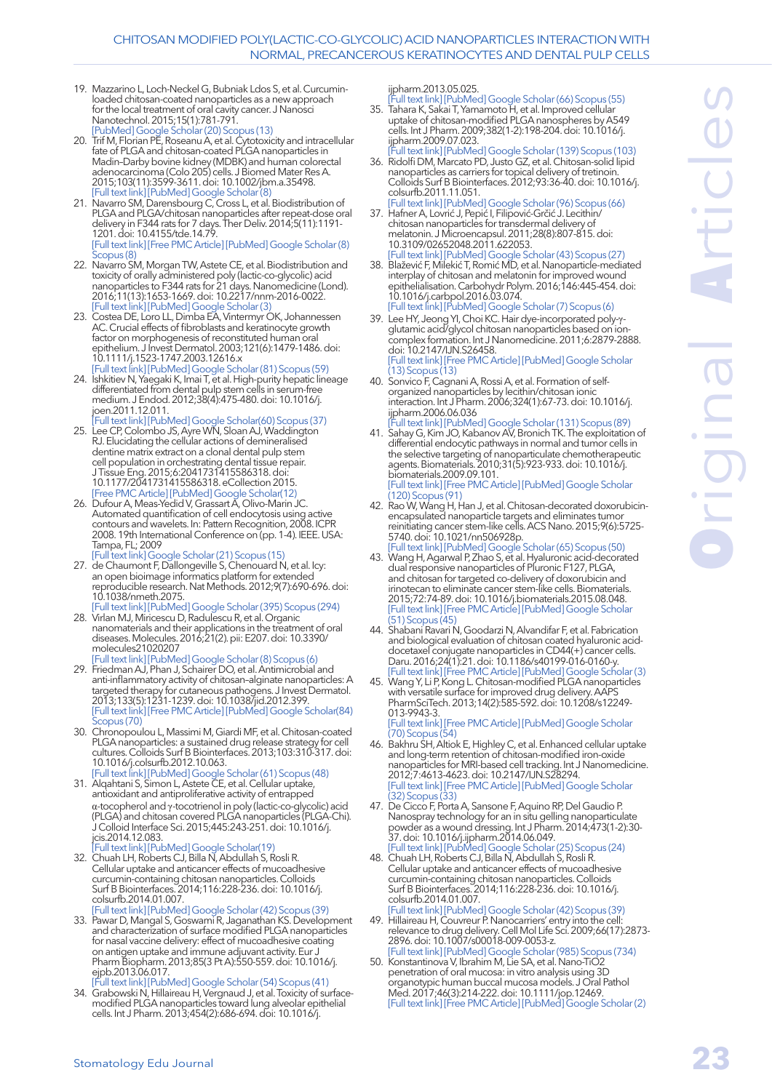- 19. Mazzarino L, Loch-Neckel G, Bubniak Ldos S, et al. Curcuminloaded chitosan-coated nanoparticles as a new approach for the local treatment of oral cavity cancer. [J Nanosci](https://www.ncbi.nlm.nih.gov/pubmed/?term=Curcumin-loaded+chitosan-coated+nanoparticles+as+a+new+approach+for+the+local+treatment+of+oral+cavity+cancer.+Journal+of+nanoscience+and+nanotechnology+2015%2C+15(1)%2C+781-791.)  [Nanotechnol.](https://www.ncbi.nlm.nih.gov/pubmed/?term=Curcumin-loaded+chitosan-coated+nanoparticles+as+a+new+approach+for+the+local+treatment+of+oral+cavity+cancer.+Journal+of+nanoscience+and+nanotechnology+2015%2C+15(1)%2C+781-791.) 2015;15(1):781-791. [\[PubMed](https://www.ncbi.nlm.nih.gov/pubmed/26328442)] [Google Scholar \(20\)](https://scholar.google.com/scholar?cluster=15282350938769470609&hl=en&as_sdt=0,5) [Scopus \(13\)](https://www.scopus.com/record/display.uri?eid=2-s2.0-84920589255&origin=resultslist&sort=plf-t&src=s&st1=Curcumin-loaded+chitosan-coated+nanoparticles+as+a+new+approach+for+the+local+treatment+of+oral+cavity+cancer&st2=&sid=61ec04a84b979e4c8c0b6adab0f0579e&sot=b&sdt=b&sl=116&s=TITLE%28Curcumin-loaded+chitosan-coated+nanoparticles+as+a+new+approach+for+the+local+treatment+of+oral+cavity+cancer%29&relpos=0&citeCnt=13&searchTerm=)
- 20. Trif M, Florian PE, Roseanu A, et al. Cytotoxicity and intracellular fate of PLGA and chitosan-coated PLGA nanoparticles in Madin–Darby bovine kidney (MDBK) and human colorectal adenocarcinoma (Colo 205) cells. [J Biomed Mater Res A.](https://www.ncbi.nlm.nih.gov/pubmed/?term=Trif+M%2C+Florian+PE%2C+Roseanu+A%2C+Moisei+M%2C+Craciunescu+O%2C+Astete+CE%2C+Sabliov+CM.+Cytotoxicity+and+intracellular+fate+of+PLGA+and+chitosan%E2%80%90coated+PLGA+nanoparticles+in+Madin%E2%80%93Darby+bovine+kidney+(MDBK)+and+human+colorectal+adenocarcinoma+(Colo+205)+cells.+Journal+of+Biomedical+Materials+Research+Part+A+2015%2C+103(11)%2C+3599-3611.) 2015;103(11):3599-3611. doi: 10.1002/jbm.a.35498. [\[Full text link](http://dx.doi.org/10.1002/jbm.a.35498)] [\[PubMed](https://www.ncbi.nlm.nih.gov/pubmed/25976509)] [Google Scholar \(8\)](https://scholar.google.com/scholar?cluster=1188968050593349933&hl=en&as_sdt=0,5)
- 21. Navarro SM, Darensbourg C, Cross L, et al. Biodistribution of PLGA and PLGA/chitosan nanoparticles after repeat-dose oral delivery in F344 rats for 7 days. [Ther Deliv.](https://www.ncbi.nlm.nih.gov/pubmed/?term=Biodistribution+of+PLGA+and+PLGA%2Fchitosan+nanoparticles+after+repeat-dose+oral+delivery+in+F344+rats+for+7+days.+Therapeutic+delivery%2C+2014%2C+5(11)%2C+1191-1201.) 2014;5(11):1191- 1201. doi: 10.4155/tde.14.79. [\[Full text link](http://www.future-science.com/doi/full/10.4155/tde.14.79?url_ver=Z39.88-2003&rfr_id=ori:rid:crossref.org&rfr_dat=cr_pub%3dpubmed)] [\[Free PMC Article](https://static.pubmed.gov/portal/portal3rc.fcgi/4171216/img/3977009)] [\[PubMed](https://www.ncbi.nlm.nih.gov/pubmed/25491670)] [Google Scholar \(8\)](https://scholar.google.com/scholar?cluster=4061027481950224942&hl=en&as_sdt=0,5) [Scopus \(8\)](https://www.scopus.com/record/display.uri?eid=2-s2.0-84917740913&origin=resultslist&sort=plf-t&src=s&st1=Biodistribution+of+PLGA+and+PLGA%2fchitosan+nanoparticles+after+repeat-dose+oral+delivery+in+F344+rats+for+7+days&st2=&sid=61ec04a84b979e4c8c0b6adab0f0579e&sot=b&sdt=b&sl=118&s=TITLE%28Biodistribution+of+PLGA+and+PLGA%2fchitosan+nanoparticles+after+repeat-dose+oral+delivery+in+F344+rats+for+7+days%29&relpos=0&citeCnt=8&searchTerm=)
- 22. Navarro SM, Morgan TW, Astete CE, et al. Biodistribution and toxicity of orally administered poly (lactic-co-glycolic) acid nanoparticles to F344 rats for 21 days. [Nanomedicine \(Lond\).](https://www.ncbi.nlm.nih.gov/pubmed/?term=Navarro+SM%2C+Morgan+TW%2C+Astete+CE%2C+Stout+RW%2C+Coulon+D%2C+Mottram+P%2C+Sabliov++CM.+Biodistribution+and+toxicity+of+orally+administered+poly+(lactic-co-glycolic)+acid+nanoparticles+to+F344+rats+for+21+days.+Nanomedicine%2C+2016%2C+11(13)%2C+1653-1669.) 2016;11(13):1653-1669. doi: 10.2217/nnm-2016-0022. [\[Full text link](http://www.futuremedicine.com/doi/full/10.2217/nnm-2016-0022?url_ver=Z39.88-2003&rfr_id=ori:rid:crossref.org&rfr_dat=cr_pub%3dpubmed)] [\[PubMed](https://www.ncbi.nlm.nih.gov/pubmed/27347781)] [Google Scholar \(3\)](https://scholar.google.com/scholar?cluster=16387014213133634318&hl=en&as_sdt=0,5)
- 23. Costea DE, [Loro LL](https://www.ncbi.nlm.nih.gov/pubmed/?term=Loro LL%5BAuthor%5D&cauthor=true&cauthor_uid=14675199), [Dimba EA](https://www.ncbi.nlm.nih.gov/pubmed/?term=Dimba EA%5BAuthor%5D&cauthor=true&cauthor_uid=14675199), [Vintermyr OK](https://www.ncbi.nlm.nih.gov/pubmed/?term=Vintermyr OK%5BAuthor%5D&cauthor=true&cauthor_uid=14675199), [Johannessen](https://www.ncbi.nlm.nih.gov/pubmed/?term=Johannessen AC%5BAuthor%5D&cauthor=true&cauthor_uid=14675199)  [AC](https://www.ncbi.nlm.nih.gov/pubmed/?term=Johannessen AC%5BAuthor%5D&cauthor=true&cauthor_uid=14675199). Crucial effects of fibroblasts and keratinocyte growth factor on morphogenesis of reconstituted human oral epithelium. [J Invest Dermatol.](https://www.ncbi.nlm.nih.gov/pubmed/?term=Crucial+effects+of+fibroblasts+and+keratinocyte+growth+factor+on+morphogenesis+of+reconstituted+human+oral+epithelium.) 2003;121(6):1479-1486. doi: 10.1111/j.1523-1747.2003.12616.x
- [\[Full text link](http://linkinghub.elsevier.com/retrieve/pii/S0022-202X(15)30584-4)] [\[PubMed](https://www.ncbi.nlm.nih.gov/pubmed/14675199)] [Google Scholar \(81\)](https://scholar.google.com/scholar?cluster=4885142204570834379&hl=en&as_sdt=0,5) [Scopus \(59\)](https://www.scopus.com/record/display.uri?eid=2-s2.0-0346278796&origin=resultslist&sort=plf-t&src=s&st1=Crucial+effects+of+fibroblasts+and+keratinocyte+growth+factor+on+morphogenesis+of+reconstituted+human+oral+epithelium&st2=&sid=61ec04a84b979e4c8c0b6adab0f0579e&sot=b&sdt=b&sl=124&s=TITLE%28Crucial+effects+of+fibroblasts+and+keratinocyte+growth+factor+on+morphogenesis+of+reconstituted+human+oral+epithelium%29&relpos=0&citeCnt=59&searchTerm=) 24. Ishkitiev N, Yaegaki K, Imai T, et al. High-purity hepatic lineage differentiated from dental pulp stem cells in serum-free medium. [J Endod.](https://www.ncbi.nlm.nih.gov/pubmed/?term=High-purity+hepatic+lineage+differentiated+from+dental+pulp+stem+cells+in+serum-free+medium.+Journal+of+endodontics%2C+2012%2C+38(4)%2C+475-480.) 2012;38(4):475-480. doi: 10.1016/j. joen.2011.12.011.
- [\[Full text link](http://linkinghub.elsevier.com/retrieve/pii/S0099-2399(11)01418-X)] [\[PubMed](https://www.ncbi.nlm.nih.gov/pubmed/22414832)] [Google Scholar\(60\)](https://scholar.google.com/scholar?cluster=12824913150881005417&hl=en&as_sdt=0,5) [Scopus \(37\)](https://www.scopus.com/record/display.uri?eid=2-s2.0-84862823303&origin=resultslist&sort=plf-t&src=s&st1=High-purity+hepatic+lineage+differentiated+from+dental+pulp+stem+cells+in+serum-free+medium&st2=&sid=61ec04a84b979e4c8c0b6adab0f0579e&sot=b&sdt=b&sl=98&s=TITLE%28High-purity+hepatic+lineage+differentiated+from+dental+pulp+stem+cells+in+serum-free+medium%29&relpos=0&citeCnt=37&searchTerm=) 25. Lee CP, Colombo JS, Ayre WN, Sloan AJ, Waddington RJ. Elucidating the cellular actions of demineralised dentine matrix extract on a clonal dental pulp stem cell population in orchestrating dental tissue repair. [J Tissue Eng.](https://www.ncbi.nlm.nih.gov/pubmed/?term=Lee+CP%2C+Colombo+JS%2C+Ayre+WN%2C+Sloan+AJ%2C+Waddington+RJ.+Elucidating+the+cellular+actions+of+demineralised+dentine+matrix+extract+on+a+clonal+dental+pulp+stem+cell+population+in+orchestrating+dental+tissue+repair.+Journal+of+tissue+engineering%2C+2015%2C+6%2C+2041731415586318.) 2015;6:2041731415586318. doi: 10.1177/2041731415586318. eCollection 2015. [\[Free PMC Article](https://www.ncbi.nlm.nih.gov/pmc/articles/pmid/26019808/)] [\[PubMed](https://www.ncbi.nlm.nih.gov/pubmed/26019808)] [Google Scholar\(12\)](https://scholar.google.com/scholar?cluster=16011859375141633136&hl=en&as_sdt=0,5)
- 26. Dufour A, Meas-Yedid V, Grassart A, Olivo-Marin JC. Automated quantification of cell endocytosis using active contours and wavelets. In: Pattern Recognition, 2008. ICPR 2008. 19th International Conference on (pp. 1-4). IEEE. USA: Tampa, FL; 2009
- [\[Full text link](http://ieeexplore.ieee.org/document/4761748/)] [Google Scholar \(21\)](https://scholar.google.com/scholar?hl=en&as_sdt=0%2C5&q=Automated+quantification+of+cell+endocytosis+using+active+contours+and+wavelets.+In%3A+Pattern+Recognition&btnG=) [Scopus \(15\)](https://www.scopus.com/record/display.uri?eid=2-s2.0-77957964082&origin=resultslist&sort=plf-t&src=s&st1=Automated+quantification+of+cell+endocytosis+using+active+contours+and+wavelets.&st2=&sid=61ec04a84b979e4c8c0b6adab0f0579e&sot=b&sdt=b&sl=87&s=TITLE%28Automated+quantification+of+cell+endocytosis+using+active+contours+and+wavelets.%29&relpos=0&citeCnt=15&searchTerm=) 27. de Chaumont F, Dallongeville S, Chenouard N, et al. Icy: an open bioimage informatics platform for extended reproducible research. [Nat Methods.](https://www.ncbi.nlm.nih.gov/pubmed/?term=Icy%3A+an+open+bioimage+informatics+platform+for+extended+reproducible+research.+Nature+methods%2C+2012%2C+9(7)%2C+690-696.) 2012;9(7):690-696. doi: 10.1038/nmeth.2075.
- [\[Full text link](http://dx.doi.org/10.1038/nmeth.2075)] [\[PubMed](https://www.ncbi.nlm.nih.gov/pubmed/22743774)] [Google Scholar \(395\)](https://scholar.google.com/scholar?cluster=8170444028478407032&hl=en&as_sdt=0,5) [Scopus \(294\)](https://www.scopus.com/record/display.uri?eid=2-s2.0-84863191618&origin=resultslist&sort=plf-t&src=s&st1=Icy%3a+an+open+bioimage+informatics+platform+for+extended+reproducible+research.&st2=&sid=61ec04a84b979e4c8c0b6adab0f0579e&sot=b&sdt=b&sl=85&s=TITLE%28Icy%3a+an+open+bioimage+informatics+platform+for+extended+reproducible+research.%29&relpos=0&citeCnt=294&searchTerm=) 28. Virlan MJ, Miricescu D, Radulescu R, et al. Organic nanomaterials and their applications in the treatment of oral diseases. [Molecules.](https://www.ncbi.nlm.nih.gov/pubmed/?term=Virlan+MJR%2C+Miricescu+D%2C+Radulescu+R%2C+Sabliov+CM%2C+Totan+A%2C+Calenic+B%2C+Greabu+M.+Organic+Nanomaterials+and+Their+Applications+in+the+Treatment+of+Oral+Diseases.Molecules%2C+2016%2C+21(2)%2C+207.) 2016;21(2). pii: E207. doi: 10.3390/ molecules21020207
- [\[Full text link](http://www.mdpi.com/resolver?pii=molecules21020207)] [\[PubMed](https://www.ncbi.nlm.nih.gov/pubmed/26867191)] [Google Scholar \(8\)](https://scholar.google.com/scholar?cluster=17761487458629956453&hl=en&as_sdt=0,5) [Scopus \(6\)](https://www.scopus.com/record/display.uri?eid=2-s2.0-84964655301&origin=resultslist&sort=plf-t&src=s&st1=Organic+nanomaterials+and+their+applications+in+the+treatment+of+oral+diseases.&st2=&sid=61ec04a84b979e4c8c0b6adab0f0579e&sot=b&sdt=b&sl=86&s=TITLE%28Organic+nanomaterials+and+their+applications+in+the+treatment+of+oral+diseases.%29&relpos=0&citeCnt=6&searchTerm=) 29. Friedman AJ, Phan J, Schairer DO, et al. Antimicrobial and anti-inflammatory activity of chitosan–alginate nanoparticles: A targeted therapy for cutaneous pathogens. [J Invest Dermatol.](https://www.ncbi.nlm.nih.gov/pubmed/?term=.Antimicrobial+and+anti-inflammatory+activity+of+chitosan%E2%80%93alginate+nanoparticles%3A+A+targeted+therapy+for+cutaneous+pathogens.) 2013;133(5):1231-1239. doi: 10.1038/jid.2012.399. [\[Full text link](http://linkinghub.elsevier.com/retrieve/pii/S0022-202X(15)36208-4)] [\[Free PMC Article](https://www.ncbi.nlm.nih.gov/pmc/articles/pmid/23190896/)] [\[PubMed](https://www.ncbi.nlm.nih.gov/pubmed/23190896)] [Google Scholar\(84\)](https://scholar.google.com/scholar?cluster=14462959420744806224&hl=en&as_sdt=0,5) [Scopus \(70\)](https://www.scopus.com/record/display.uri?eid=2-s2.0-84876529261&origin=resultslist&sort=plf-t&src=s&st1=Antimicrobial+and+anti-inflammatory+activity+of+chitosan--alginate+nanoparticles%3a+A+targeted+therapy+for+cutaneous+pathogens&st2=&sid=61ec04a84b979e4c8c0b6adab0f0579e&sot=b&sdt=b&sl=131&s=TITLE%28Antimicrobial+and+anti-inflammatory+activity+of+chitosan--alginate+nanoparticles%3a+A+targeted+therapy+for+cutaneous+pathogens%29&relpos=0&citeCnt=70&searchTerm=)
- 30. Chronopoulou L, Massimi M, Giardi MF, et al. Chitosan-coated PLGA nanoparticles: a sustained drug release strategy for cell cultures. [Colloids Surf B Biointerfaces.](https://www.ncbi.nlm.nih.gov/pubmed/?term=Chronopoulou+L%2C+Massimi+M%2C+Giardi+MF%2C+Cametti+C%2C+Devirgiliis+LC%2C+Dentini+M%2C+Palocci+C.+Chitosan-coated+PLGA+nanoparticles%3A+a+sustained+drug+release+strategy+for+cell+cultures.+Colloids+and+surfaces+B%3A+biointerfaces+2013%2C+103%2C+310-317.) 2013;103:310-317. doi: 10.1016/j.colsurfb.2012.10.063.
- [\[Full text link](http://linkinghub.elsevier.com/retrieve/pii/S0927-7765(12)00636-4)] [\[PubMed](https://www.ncbi.nlm.nih.gov/pubmed/23261553)] [Google Scholar \(61\)](https://scholar.google.com/scholar?cluster=16786778755869105900&hl=en&as_sdt=0,5) [Scopus \(48\)](https://www.scopus.com/record/display.uri?eid=2-s2.0-84871153649&origin=resultslist&sort=plf-t&src=s&st1=Chitosan-coated+PLGA+nanoparticles%3a+a+sustained+drug+release+strategy+for+cell+cultures&st2=&sid=61ec04a84b979e4c8c0b6adab0f0579e&sot=b&sdt=b&sl=94&s=TITLE%28Chitosan-coated+PLGA+nanoparticles%3a+a+sustained+drug+release+strategy+for+cell+cultures%29&relpos=0&citeCnt=48&searchTerm=) 31. Alqahtani S, Simon L, Astete CE, et al. Cellular uptake, antioxidant and antiproliferative activity of entrapped α-tocopherol and γ-tocotrienol in poly (lactic-co-glycolic) acid (PLGA) and chitosan covered PLGA nanoparticles (PLGA-Chi). [J Colloid Interface Sci.](https://www.ncbi.nlm.nih.gov/pubmed/?term=Cellular+uptake%2C+antioxidant+and+antiproliferative+activity+of+entrapped+%CE%B1-tocopherol+and+%CE%B3-tocotrienol+in+poly+(lactic-co-glycolic)+acid+(PLGA)+and+chitosan+covered+PLGA+nanoparticles+(PLGA-Chi).) 2015;445:243-251. doi: 10.1016/j. jcis.2014.12.083.
- [\[Full text link](http://linkinghub.elsevier.com/retrieve/pii/S0021-9797(14)01053-4)] [PubMed] [Google Scholar\(19\)](https://scholar.google.com/scholar?cluster=4394676187737780695&hl=en&as_sdt=0,5) 32. Chuah LH, Roberts CJ, Billa N, Abdullah S, Rosli R. Cellular uptake and anticancer effects of mucoadhesive curcumin-containing chitosan nanoparticles. Colloids Surf B Biointerfaces. 2014;116:228-236. doi: 10.1016/j. colsurfb.2014.01.007.
- [\[Full text link](http://linkinghub.elsevier.com/retrieve/pii/S0927-7765(14)00008-3)] [\[PubMed](https://www.ncbi.nlm.nih.gov/pubmed/24486834)] [Google Scholar \(42\)](https://scholar.google.com/scholar?cluster=16491663427221602189&hl=en&as_sdt=0,5) [Scopus \(39\)](https://www.scopus.com/record/display.uri?eid=2-s2.0-84893420560&origin=resultslist&sort=plf-t&src=s&st1=Cellular+uptake+and+anticancer+effects+of+mucoadhesive+curcumin-containing+chitosan+nanoparticles&st2=&sid=61ec04a84b979e4c8c0b6adab0f0579e&sot=b&sdt=b&sl=104&s=TITLE%28Cellular+uptake+and+anticancer+effects+of+mucoadhesive+curcumin-containing+chitosan+nanoparticles%29&relpos=0&citeCnt=39&searchTerm=) 33. Pawar D, Mangal S, Goswami R, Jaganathan KS. Development and characterization of surface modified PLGA nanoparticles for nasal vaccine delivery: effect of mucoadhesive coating on antigen uptake and immune adjuvant activity. [Eur J](https://www.ncbi.nlm.nih.gov/pubmed/?term=Pawar+D%2C+Mangal+S%2C+Goswami+R%2C+Jaganathan+KS.+Development+and+characterization+of+surface+modified+PLGA+nanoparticles+for+nasal+vaccine+delivery%3A+effect+of+mucoadhesive+coating+on+antigen+uptake+and+immune+adjuvant+activity.+Eur)  [Pharm Biopharm.](https://www.ncbi.nlm.nih.gov/pubmed/?term=Pawar+D%2C+Mangal+S%2C+Goswami+R%2C+Jaganathan+KS.+Development+and+characterization+of+surface+modified+PLGA+nanoparticles+for+nasal+vaccine+delivery%3A+effect+of+mucoadhesive+coating+on+antigen+uptake+and+immune+adjuvant+activity.+Eur) 2013;85(3 Pt A):550-559. doi: 10.1016/j. ejpb.2013.06.017.
- [\[Full text link](http://linkinghub.elsevier.com/retrieve/pii/S0939-6411(13)00236-1)] [\[PubMed](https://www.ncbi.nlm.nih.gov/pubmed/23831265)] [Google Scholar \(54\)](https://scholar.google.com/scholar?cluster=1228153747560248212&hl=en&as_sdt=0,5) [Scopus \(41\)](https://www.scopus.com/record/display.uri?eid=2-s2.0-84888324246&origin=resultslist&sort=plf-t&src=s&st1=Development+and+characterization+of+surface+modified+PLGA+nanoparticles+for+nasal+vaccine+delivery%3a+effect+of+mucoadhesive+coating+on+antigen+uptake+and+immune+adjuvant+activity.+&st2=&sid=61ec04a84b979e4c8c0b6adab0f0579e&sot=b&sdt=b&sl=186&s=TITLE%28Development+and+characterization+of+surface+modified+PLGA+nanoparticles+for+nasal+vaccine+delivery%3a+effect+of+mucoadhesive+coating+on+antigen+uptake+and+immune+adjuvant+activity.+%29&relpos=0&citeCnt=41&searchTerm=) 34. Grabowski N, Hillaireau H, Vergnaud J, et al. Toxicity of surface-
- modified PLGA nanoparticles toward lung alveolar epithelial cells. [Int J Pharm.](https://www.ncbi.nlm.nih.gov/pubmed/?term=Grabowski+N%2C+Hillaireau+H+%2C+Vergnaud+J%2C+Santiago+LA%2C+Kerdine-Romer+S%2C+Pallardy+M%2C++Fattal%2C+E.+Toxicity+of+surface-modified+PLGA+nanoparticles+toward+lung+alveolar+epithelial+cells.+Int) 2013;454(2):686-694. doi: 10.1016/j.

ijpharm.2013.05.025.

- [\[Full text link\]](http://linkinghub.elsevier.com/retrieve/pii/S0378-5173(13)00428-6) [\[PubMed\]](https://www.ncbi.nlm.nih.gov/pubmed/23747506) [Google Scholar \(66\)](https://scholar.google.com/scholar?cluster=14366022722103405523&hl=en&as_sdt=0,5) [Scopus \(55\)](https://www.scopus.com/record/display.uri?eid=2-s2.0-84884168513&origin=resultslist&sort=plf-t&src=s&st1=Toxicity+of+surface-modified+PLGA+nanoparticles+toward+lung+alveolar+epithelial+cells.+&st2=&sid=61ec04a84b979e4c8c0b6adab0f0579e&sot=b&sdt=b&sl=94&s=TITLE%28Toxicity+of+surface-modified+PLGA+nanoparticles+toward+lung+alveolar+epithelial+cells.+%29&relpos=0&citeCnt=55&searchTerm=) 35. Tahara K, Sakai T, Yamamoto H, et al. Improved cellular uptake of chitosan-modified PLGA nanospheres by A549 cells. [Int J Pharm.](https://www.ncbi.nlm.nih.gov/pubmed/?term=Tahara+K%2C+Sakai+T%2C+Yamamoto+H%2C+Takeuchi+H%2C+Hirashima+N%2C+Kawashima+Y.+Improved+cellular+uptake+of+chitosan-modified+PLGA+nanospheres+by+A549+cells.+Int) 2009;382(1-2):198-204. doi: 10.1016/j. ijpharm.2009.07.023.
- [\[Full text link\]](http://linkinghub.elsevier.com/retrieve/pii/S0378-5173(09)00495-5) [\[PubMed\]](https://www.ncbi.nlm.nih.gov/pubmed/19646519) [Google Scholar \(139\)](https://scholar.google.com/scholar?cluster=8753640322037520053&hl=en&as_sdt=0,5) [Scopus \(103\)](https://www.scopus.com/record/display.uri?eid=2-s2.0-70350199620&origin=resultslist&sort=plf-t&src=s&st1=Improved+cellular+uptake+of+chitosan-modified+PLGA+nanospheres+by+A549+cells.&st2=&sid=61ec04a84b979e4c8c0b6adab0f0579e&sot=b&sdt=b&sl=84&s=TITLE%28Improved+cellular+uptake+of+chitosan-modified+PLGA+nanospheres+by+A549+cells.%29&relpos=0&citeCnt=103&searchTerm=) 36. Ridolfi DM, Marcato PD, Justo GZ, et al. Chitosan-solid lipid nanoparticles as carriers for topical delivery of tretinoin. Colloids Surf B Biointerfaces. 2012;93:36-40. doi: 10.1016/j. colsurfb.2011.11.051.
- [Full text link] [PubMed] [Google Scholar \(96\)](https://scholar.google.com/scholar?cluster=12654816147619172898&hl=en&as_sdt=0,5) [Scopus \(66\)](https://www.scopus.com/record/display.uri?eid=2-s2.0-84857781920&origin=resultslist&sort=plf-t&src=s&st1=Chitosan-solid+lipid+nanoparticles+as+carriers+for+topical+delivery+of+tretinoin.&st2=&sid=61ec04a84b979e4c8c0b6adab0f0579e&sot=b&sdt=b&sl=88&s=TITLE%28Chitosan-solid+lipid+nanoparticles+as+carriers+for+topical+delivery+of+tretinoin.%29&relpos=0&citeCnt=66&searchTerm=) 37. Hafner A, Lovrić J, Pepić I, Filipović-Grčić J. Lecithin/ chitosan nanoparticles for transdermal delivery of melatonin. [J Microencapsul.](https://www.ncbi.nlm.nih.gov/pubmed/?term=Hafner+A%2C+Lovri%C4%87+J%2C+Pepi%C4%87+I%2C+Filipovi%C4%87-Gr%C4%8Di%C4%87+J.+Lecithin%2Fchitosan+nanoparticles+for+transdermal+delivery+of+melatonin.+Journal+of+microencapsulation+2011%2C+28(8)%2C+807-815.) 2011;28(8):807-815. doi: 10.3109/02652048.2011.622053.
- [\[Full text link\]](http://www.tandfonline.com/doi/full/10.3109/02652048.2011.62205) [\[PubMed\]](https://www.ncbi.nlm.nih.gov/pubmed/22117177) [Google Scholar \(43\)](https://scholar.google.com/scholar?cluster=13443910057659416571&hl=en&as_sdt=0,5) [Scopus \(27\)](https://www.scopus.com/record/display.uri?eid=2-s2.0-82255196165&origin=resultslist&sort=plf-t&src=s&st1=Lecithin%2fchitosan+nanoparticles+for+transdermal+delivery+of+melatonin.&st2=&sid=61ec04a84b979e4c8c0b6adab0f0579e&sot=b&sdt=b&sl=77&s=TITLE%28Lecithin%2fchitosan+nanoparticles+for+transdermal+delivery+of+melatonin.%29&relpos=0&citeCnt=27&searchTerm=) 38. Blažević F, Milekić T, Romić MD, et al. Nanoparticle-mediated interplay of chitosan and melatonin for improved wound epithelialisation. [Carbohydr Polym.](https://www.ncbi.nlm.nih.gov/pubmed/?term=Bla%C5%BEevi%C4%87+F%2C+Mileki%C4%87+T%2C+Romi%C4%87+MD%2C+Jureti%C4%87+M%2C+Pepi%C4%87+I%2C+Filipovi%C4%87-Gr%C4%8Di%C4%87+J%2C+Lovri%C4%87+J%2C+Hafner+A.Nanoparticle-mediated+interplay+of+chitosan+and+melatonin+for+improved+wound+epithelialisation.) 2016;146:445-454. doi: 10.1016/j.carbpol.2016.03.074.
- [\[Full text link\]](http://linkinghub.elsevier.com/retrieve/pii/S0144-8617(16)30311-3) [\[PubMed\]](https://www.ncbi.nlm.nih.gov/pubmed/27112895) [Google Scholar \(7\)](https://scholar.google.com/scholar?cluster=7452719766548997649&hl=en&as_sdt=0,5) [Scopus \(6\)](https://www.scopus.com/record/display.uri?eid=2-s2.0-84964335377&origin=resultslist&sort=plf-t&src=s&st1=Nanoparticle-mediated+interplay+of+chitosan+and+melatonin+for+improved+wound+epithelialisation&st2=&sid=61ec04a84b979e4c8c0b6adab0f0579e&sot=b&sdt=b&sl=101&s=TITLE%28Nanoparticle-mediated+interplay+of+chitosan+and+melatonin+for+improved+wound+epithelialisation%29&relpos=0&citeCnt=6&searchTerm=) 39. Lee HY, Jeong YI, Choi KC. Hair dye-incorporated poly-γglutamic acid/glycol chitosan nanoparticles based on ioncomplex formation. [Int J Nanomedicine.](https://www.ncbi.nlm.nih.gov/pubmed/?term=Lee+HY%2C+Jeong+YI%2CChoi+K+C.+Hair+dye-incorporated+poly-%CE%B3-glutamic+acid%2Fglycol+chitosan+nanoparticles+based+on+ion-complex+formation.+Int) 2011;6:2879-2888. doi: 10.2147/IJN.S26458.
- [\[Full text link\]](https://dx.doi.org/10.2147/IJN.S26458) [Free PMC Article] [[PubMed\]](https://www.ncbi.nlm.nih.gov/pubmed/22131834) [Google Scholar](https://scholar.google.com/scholar?cluster=2866139922103885588&hl=en&as_sdt=0,5)  [\(13\)](https://scholar.google.com/scholar?cluster=2866139922103885588&hl=en&as_sdt=0,5) [Scopus \(13\)](https://www.scopus.com/record/display.uri?eid=2-s2.0-84861717771&origin=resultslist&sort=plf-t&src=s&st1=Hair+dye-incorporated+poly-%ce%b3-glutamic+acid%2fglycol+chitosan+nanoparticles+based+on+ion-complex+formation&st2=&sid=61ec04a84b979e4c8c0b6adab0f0579e&sot=b&sdt=b&sl=110&s=TITLE%28Hair+dye-incorporated+poly-%ce%b3-glutamic+acid%2fglycol+chitosan+nanoparticles+based+on+ion-complex+formation%29&relpos=0&citeCnt=13&searchTerm=)
- 40. Sonvico F, Cagnani A, Rossi A, et al. Formation of selforganized nanoparticles by lecithin/chitosan ionic interaction. [Int J Pharm.](https://www.ncbi.nlm.nih.gov/pubmed/?term=Sonvico+F%2C+Cagnani+A%2C+Rossi+A%2C+Motta+S%2C+Di+Bari+MT%2C+Cavatorta+F%2C+Alonso+MJ%2C+Deriu+A%2C+Colombo+P.+Formation+of+self-organized+nanoparticles+by+lecithin%2Fchitosan+ionic+interaction.+Int) 2006;324(1):67-73. doi: 10.1016/j. ijpharm.2006.06.036
- [\[Full text link\]](http://linkinghub.elsevier.com/retrieve/pii/S0378-5173(06)00539-4) [\[PubMed\]](https://www.ncbi.nlm.nih.gov/pubmed/16973314) [Google Scholar \(131\)](https://scholar.google.com/scholar?cluster=7218895977887526119&hl=en&as_sdt=0,5) [Scopus \(89\)](https://www.scopus.com/record/display.uri?eid=2-s2.0-33749589427&origin=resultslist&sort=plf-t&src=s&st1=Formation+of+self-organized+nanoparticles+by+lecithin%2fchitosan+ionic+interaction.&st2=&sid=61ec04a84b979e4c8c0b6adab0f0579e&sot=b&sdt=b&sl=88&s=TITLE%28Formation+of+self-organized+nanoparticles+by+lecithin%2fchitosan+ionic+interaction.%29&relpos=0&citeCnt=89&searchTerm=) 41. Sahay G, Kim JO, Kabanov AV, Bronich TK. The exploitation of differential endocytic pathways in normal and tumor cells in the selective targeting of nanoparticulate chemotherapeutic agents. [Biomaterials.](https://www.ncbi.nlm.nih.gov/pubmed/?term=Sahay+G%2C+Kim+JO%2C+Kabanov+AV%2C+Bronich+TK.+The+exploitation+of+differential+endocytic+pathways+in+normal+and+tumor+cells+in+the+selective+targeting+of+nanoparticulate+chemotherapeutic+agents.) 2010;31(5):923-933. doi: 10.1016/j. biomaterials.2009.09.101. [\[Full text link\]](http://linkinghub.elsevier.com/retrieve/pii/S0142-9612(09)01069-2) [Free PMC Article] [[PubMed\]](https://www.ncbi.nlm.nih.gov/pubmed/19853293) [Google Scholar](https://scholar.google.com/scholar?cluster=6416582840814400488&hl=en&as_sdt=0,5)
- [\(120\)](https://scholar.google.com/scholar?cluster=6416582840814400488&hl=en&as_sdt=0,5) [Scopus \(91\)](https://www.scopus.com/record/display.uri?eid=2-s2.0-70649114515&origin=resultslist&sort=plf-t&src=s&st1=The+exploitation+of+differential+endocytic+pathways+in+normal+and+tumor+cells+in+the+selective+targeting+of+nanoparticulate+chemotherapeutic+agents&st2=&sid=61ec04a84b979e4c8c0b6adab0f0579e&sot=b&sdt=b&sl=154&s=TITLE%28The+exploitation+of+differential+endocytic+pathways+in+normal+and+tumor+cells+in+the+selective+targeting+of+nanoparticulate+chemotherapeutic+agents%29&relpos=0&citeCnt=91&searchTerm=) 42. Rao W, Wang H, Han J, et al. Chitosan-decorated doxorubicinencapsulated nanoparticle targets and eliminates tumor reinitiating cancer stem-like cells. [ACS Nano.](https://www.ncbi.nlm.nih.gov/pubmed/?term=Rao+W%2C+Wang+H%2C+Han+J%2C+Zhao+S%2C+Dumbleton+J%2C+Agarwal+P%2C+%2C+Zhang+W%2C+Zhao+G+%2C+Yu+J%2C+Zynger+DL%2C+Lu+X%2C+He+X.+Chitosan-decorated+doxorubicin-encapsulated+nanoparticle+targets+and+eliminates+tumor+reinitiating+cancer+stem-like+cells.) 2015;9(6):5725- 5740. doi: 10.1021/nn506928p.
- [\[Full text link\]](https://dx.doi.org/10.1021/nn506928p) [\[PubMed\]](https://www.ncbi.nlm.nih.gov/pubmed/26004286) [Google Scholar \(65\)](https://scholar.google.com/scholar?cluster=10456459400052767623&hl=en&as_sdt=0,5) [Scopus \(50\)](https://www.scopus.com/record/display.uri?eid=2-s2.0-84935022493&origin=resultslist&sort=plf-t&src=s&st1=Chitosan-decorated+doxorubicin-encapsulated+nanoparticle+targets+and+eliminates+tumor+reinitiating+cancer+stem-like+cells&st2=&sid=61ec04a84b979e4c8c0b6adab0f0579e&sot=b&sdt=b&sl=128&s=TITLE%28Chitosan-decorated+doxorubicin-encapsulated+nanoparticle+targets+and+eliminates+tumor+reinitiating+cancer+stem-like+cells%29&relpos=0&citeCnt=50&searchTerm=) 43. Wang H, Agarwal P, Zhao S, et al. Hyaluronic acid-decorated dual responsive nanoparticles of Pluronic F127, PLGA, and chitosan for targeted co-delivery of doxorubicin and irinotecan to eliminate cancer stem-like cells. [Biomaterials.](https://www.ncbi.nlm.nih.gov/pubmed/?term=Wang+H%2C+Agarwal+P%2C+Zhao+S%2C+Xu+RX%2C+Yu+J%2C+Lu+X%2CHe+X.+Hyaluronic+acid-decorated+dual+responsive+nanoparticles+of+Pluronic+F127%2C+PLGA%2C+and+chitosan+for+targeted+co-delivery+of+doxorubicin+and+irinotecan+to+eliminate+cancer+stem-like+cells.+Biomaterials%2C+2015%2C+72%2C+74-89.) 2015;72:74-89. doi: 10.1016/j.biomaterials.2015.08.048. [\[Full text link\]](http://linkinghub.elsevier.com/retrieve/pii/S0142-9612(15)00722-X) [\[Free PMC Article\]](https://www.ncbi.nlm.nih.gov/pmc/articles/pmid/26344365/) [[PubMed\]](https://www.ncbi.nlm.nih.gov/pubmed/26344365) [Google Scholar](https://scholar.google.com/scholar?cluster=15454905194067679901&hl=en&as_sdt=0,5)  [\(51\)](https://scholar.google.com/scholar?cluster=15454905194067679901&hl=en&as_sdt=0,5) [Scopus \(45\)](https://www.scopus.com/record/display.uri?eid=2-s2.0-84943243848&origin=resultslist&sort=plf-t&src=s&st1=Hyaluronic+acid-decorated+dual+responsive+nanoparticles+of+Pluronic+F127%2c+PLGA%2c+and+chitosan+for+targeted+co-delivery+of+doxorubicin+and+irinotecan+to+eliminate+cancer+stem-like+cells.&st2=&sid=61ec04a84b979e4c8c0b6adab0f0579e&sot=b&sdt=b&sl=191&s=TITLE%28Hyaluronic+acid-decorated+dual+responsive+nanoparticles+of+Pluronic+F127%2c+PLGA%2c+and+chitosan+for+targeted+co-delivery+of+doxorubicin+and+irinotecan+to+eliminate+cancer+stem-like+cells.%29&relpos=0&citeCnt=45&searchTerm=)
- 44. [Shabani Ravari](https://www.ncbi.nlm.nih.gov/pubmed/?term=Shabani Ravari N%5BAuthor%5D&cauthor=true&cauthor_uid=27473554) N[, Goodarzi](https://www.ncbi.nlm.nih.gov/pubmed/?term=Goodarzi N%5BAuthor%5D&cauthor=true&cauthor_uid=27473554) N, [Alvandifar](https://www.ncbi.nlm.nih.gov/pubmed/?term=Alvandifar F%5BAuthor%5D&cauthor=true&cauthor_uid=27473554) F[, et al. F](https://www.ncbi.nlm.nih.gov/pubmed/?term=Amini M%5BAuthor%5D&cauthor=true&cauthor_uid=27473554)abrication and biological evaluation of chitosan coated hyaluronic aciddocetaxel conjugate nanoparticles in CD44(+) cancer cells. [Daru.](https://www.ncbi.nlm.nih.gov/pubmed/?term=Shabani+Ravari+N%2C+Goodarzi+N%2C+Alvandifar+F%2C+Amini+M%2C+Souri+E%2C+Khoshayand+MR%2C+Hadavand+Mirzaie+Z%2C+Atyabi+F%2C+and+Dinarvand+R.+Fabrication+and+biological+evaluation+of+chitosan+coated+hyaluronic+acid-docetaxel+conjugate+nanoparticles+in+CD44%2B+cancer+cells) 2016;24(1):21. doi: 10.1186/s40199-016-0160-y. [Full text link] [\[Free PMC Article\]](https://www.ncbi.nlm.nih.gov/pmc/articles/pmid/27473554/) [[PubMed\]](https://www.ncbi.nlm.nih.gov/pubmed/27473554) [Google Scholar \(3\)](https://scholar.google.com/scholar?cluster=9669928403899421342&hl=en&as_sdt=0,5)
- 45. Wang Y, Li P, Kong L. Chitosan-modified PLGA nanoparticles with versatile surface for improved drug delivery. [AAPS](https://www.ncbi.nlm.nih.gov/pubmed/?term=Wang+Y%2C+Li+P%2CKong+L.+Chitosan-modified+PLGA+nanoparticles+with+versatile+surface+for+improved+drug+delivery.+Aaps+Pharmscitech%2C2013+14(2)%2C+585-592.)  [PharmSciTech.](https://www.ncbi.nlm.nih.gov/pubmed/?term=Wang+Y%2C+Li+P%2CKong+L.+Chitosan-modified+PLGA+nanoparticles+with+versatile+surface+for+improved+drug+delivery.+Aaps+Pharmscitech%2C2013+14(2)%2C+585-592.) 2013;14(2):585-592. doi: 10.1208/s12249- 013-9943-3.
	- [\[Full text link\]](https://dx.doi.org/10.1208/s12249-013-9943-3) [\[Free PMC Article\]](https://www.ncbi.nlm.nih.gov/pmc/articles/pmid/23463262/) [[PubMed\]](https://www.ncbi.nlm.nih.gov/pubmed/23463262) [Google Scholar](https://scholar.google.com/scholar?cluster=15099517265931251861&hl=en&as_sdt=0,5)  [\(70\)](https://scholar.google.com/scholar?cluster=15099517265931251861&hl=en&as_sdt=0,5) [Scopus \(54\)](https://www.scopus.com/record/display.uri?eid=2-s2.0-84879115203&origin=resultslist&sort=plf-t&src=s&st1=Chitosan-modified+PLGA+nanoparticles+with+versatile+surface+for+improved+drug+delivery.&st2=&sid=61ec04a84b979e4c8c0b6adab0f0579e&sot=b&sdt=b&sl=94&s=TITLE%28Chitosan-modified+PLGA+nanoparticles+with+versatile+surface+for+improved+drug+delivery.%29&relpos=0&citeCnt=54&searchTerm=)
- 46. Bakhru SH, Altiok E, Highley C, et al. Enhanced cellular uptake and long-term retention of chitosan-modified iron-oxide nanoparticles for MRI-based cell tracking. [Int J Nanomedicine.](https://www.ncbi.nlm.nih.gov/pubmed/?term=Bakhru+SH%2C+Altiok+E%2C+Highley+C%2C+Delubac+D%2C+Suhan+J%2C+Hitchens+T+K%2C+Ho+C%2C+Zappe+S.Enhanced+cellular+uptake+and+long-term+retention+of+chitosan-modified+iron-oxide+nanoparticles+for+MRI-based+cell+tracking.+Int) 2012;7:4613-4623. doi: 10.2147/IJN.S28294. [\[Full text link\]](https://dx.doi.org/10.2147/IJN.S28294) [\[Free PMC Article\]](https://www.ncbi.nlm.nih.gov/pmc/articles/pmid/22942643/) [[PubMed\]](https://www.ncbi.nlm.nih.gov/pubmed/22942643) [Google Scholar](https://scholar.google.com/scholar?cluster=18391402529942198283&hl=en&as_sdt=0,5)  [\(32\)](https://scholar.google.com/scholar?cluster=18391402529942198283&hl=en&as_sdt=0,5) [Scopus \(33\)](https://www.scopus.com/record/display.uri?eid=2-s2.0-84870346686&origin=resultslist&sort=plf-t&src=s&st1=Enhanced+cellular+uptake+and+long-term+retention+of+chitosan-modified+iron-oxide+nanoparticles+for+MRI-based+cell+tracking&st2=&sid=61ec04a84b979e4c8c0b6adab0f0579e&sot=b&sdt=b&sl=129&s=TITLE%28Enhanced+cellular+uptake+and+long-term+retention+of+chitosan-modified+iron-oxide+nanoparticles+for+MRI-based+cell+tracking%29&relpos=0&citeCnt=33&searchTerm=)
- 47. De Cicco F, Porta A, Sansone F, Aquino RP, Del Gaudio P. Nanospray technology for an in situ gelling nanoparticulate powder as a wound dressing. [Int J Pharm.](https://www.ncbi.nlm.nih.gov/pubmed/?term=Nanospray+technology+for+an+in+situ+gelling+nanoparticulate+powder+as+a+wound+dressing.+Int) 2014;473(1-2):30- 37. doi: 10.1016/j.ijpharm.2014.06.049. [\[Full text link\]](http://linkinghub.elsevier.com/retrieve/pii/S0378-5173(14)00478-5) [\[PubMed\]](https://www.ncbi.nlm.nih.gov/pubmed/24979533) [Google Scholar \(25\)](https://scholar.google.com/scholar?cluster=16726033595369557064&hl=en&as_sdt=0,5) [Scopus \(24\)](https://www.scopus.com/record/display.uri?eid=2-s2.0-84903836906&origin=resultslist&sort=plf-t&src=s&st1=Nanospray+technology+for+an+in+situ+gelling+nanoparticulate+powder+as+a+wound+dressing.+&st2=&sid=61ec04a84b979e4c8c0b6adab0f0579e&sot=b&sdt=b&sl=95&s=TITLE%28Nanospray+technology+for+an+in+situ+gelling+nanoparticulate+powder+as+a+wound+dressing.+%29&relpos=0&citeCnt=24&searchTerm=)
- 48. Chuah LH, Roberts CJ, Billa N, Abdullah S, Rosli R. Cellular uptake and anticancer effects of mucoadhesive curcumin-containing chitosan nanoparticles. [Colloids](https://www.ncbi.nlm.nih.gov/pubmed/?term=Chuah+LH%2C+Roberts+CJ%2C+Billa+N%2C+Abdullah+S%2C+Rosli+R.+Cellular+uptake+and+anticancer+effects+of+mucoadhesive+curcumin-containing+chitosan+nanoparticles.)  [Surf B Biointerfaces.](https://www.ncbi.nlm.nih.gov/pubmed/?term=Chuah+LH%2C+Roberts+CJ%2C+Billa+N%2C+Abdullah+S%2C+Rosli+R.+Cellular+uptake+and+anticancer+effects+of+mucoadhesive+curcumin-containing+chitosan+nanoparticles.) 2014;116:228-236. doi: 10.1016/j. colsurfb.2014.01.007.
- [\[Full text link\]](http://linkinghub.elsevier.com/retrieve/pii/S0927-7765(14)00008-3) [\[PubMed\]](https://www.ncbi.nlm.nih.gov/pubmed/24486834) [Google Scholar \(42\)](https://scholar.google.com/scholar?cluster=16491663427221602189&hl=en&as_sdt=0,5) [Scopus \(39\)](https://www.scopus.com/record/display.uri?eid=2-s2.0-84893420560&origin=resultslist&sort=plf-t&src=s&st1=Cellular+uptake+and+anticancer+effects+of+mucoadhesive+curcumin-containing+chitosan+nanoparticles&st2=&sid=61ec04a84b979e4c8c0b6adab0f0579e&sot=b&sdt=b&sl=104&s=TITLE%28Cellular+uptake+and+anticancer+effects+of+mucoadhesive+curcumin-containing+chitosan+nanoparticles%29&relpos=0&citeCnt=39&searchTerm=) 49. Hillaireau H, Couvreur P. Nanocarriers' entry into the cell: relevance to drug delivery. [Cell Mol Life Sci.](https://www.ncbi.nlm.nih.gov/pubmed/?term=Hillaireau+H%2C+Couvreur+P.+Nanocarriers%E2%80%99+entry+into+the+cell%3A+relevance+to+drug+delivery.+Cellular+and+Molecular+Life+Sciences%2C+2009%2C+66(17)%2C+2873-2896.) 2009;66(17):2873- 2896. doi: 10.1007/s00018-009-0053-z.
- [\[Full text link\]](https://dx.doi.org/10.1007/s00018-009-0053-z) [\[PubMed\]](https://www.ncbi.nlm.nih.gov/pubmed/19499185) [Google Scholar \(985\)](https://scholar.google.com/scholar?cluster=2065421296386306870&hl=en&as_sdt=0,5) [Scopus \(734\)](https://www.scopus.com/record/display.uri?eid=2-s2.0-68949208465&origin=resultslist&sort=plf-t&src=s&st1=Nanocarriers%27+entry+into+the+cell%3a+relevance+to+drug+delivery.+&st2=&sid=61ec04a84b979e4c8c0b6adab0f0579e&sot=b&sdt=b&sl=70&s=TITLE%28Nanocarriers%27+entry+into+the+cell%3a+relevance+to+drug+delivery.+%29&relpos=0&citeCnt=734&searchTerm=) 50. Konstantinova V, Ibrahim M, Lie SA, et al. Nano-TiO2 penetration of oral mucosa: in vitro analysis using 3D organotypic human buccal mucosa models. [J Oral Pathol](https://www.ncbi.nlm.nih.gov/pubmed/?term=Konstantinova+V%2C+Ibrahim+M%2C+Lie+SA%2C+Birkeland+ES%2C+Neppelberg+E%2C+Marthinussen+MC%2CCostea+DE%2C+Cimpan+MR.Nano%E2%80%90TiO2+penetration+of+oral+mucosa%3A+in+vitro+analysis+using+3D+organotypic+human+buccal+mucosa+models.+J)  [Med.](https://www.ncbi.nlm.nih.gov/pubmed/?term=Konstantinova+V%2C+Ibrahim+M%2C+Lie+SA%2C+Birkeland+ES%2C+Neppelberg+E%2C+Marthinussen+MC%2CCostea+DE%2C+Cimpan+MR.Nano%E2%80%90TiO2+penetration+of+oral+mucosa%3A+in+vitro+analysis+using+3D+organotypic+human+buccal+mucosa+models.+J) 2017;46(3):214-222. doi: 10.1111/jop.12469. [\[Full text link\]](http://dx.doi.org/10.1111/jop.12469) [\[Free PMC Article\]](https://static.pubmed.gov/portal/portal3rc.fcgi/4171216/img/3977009) [[PubMed\]](https://www.ncbi.nlm.nih.gov/pubmed/27387227) [Google Scholar \(2\)](https://scholar.google.com/scholar?cluster=9157579559380951496&hl=en&as_sdt=0,5)